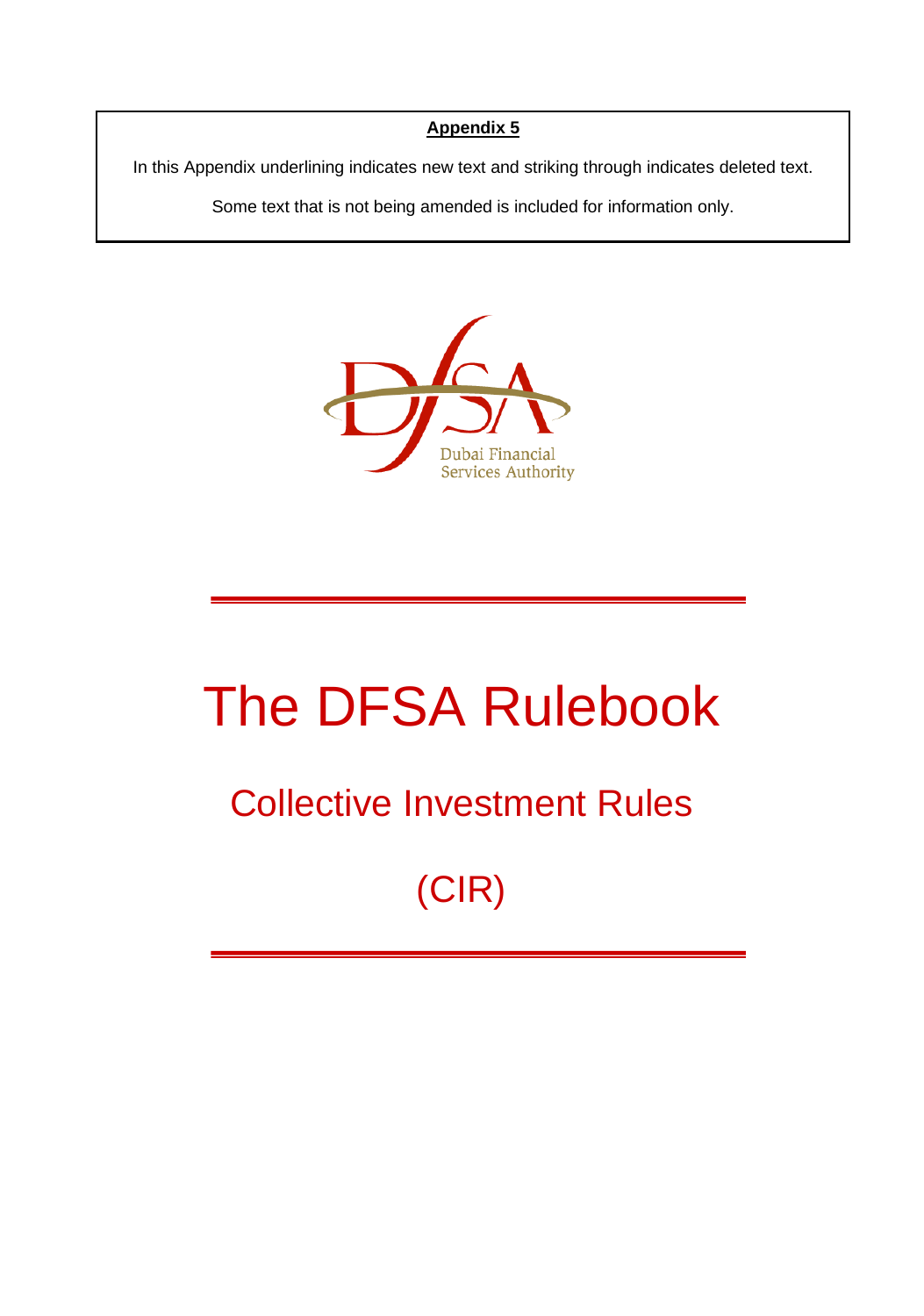## **Appendix 5**

In this Appendix underlining indicates new text and striking through indicates deleted text.

Some text that is not being amended is included for information only.



# The DFSA Rulebook

## Collective Investment Rules

(CIR)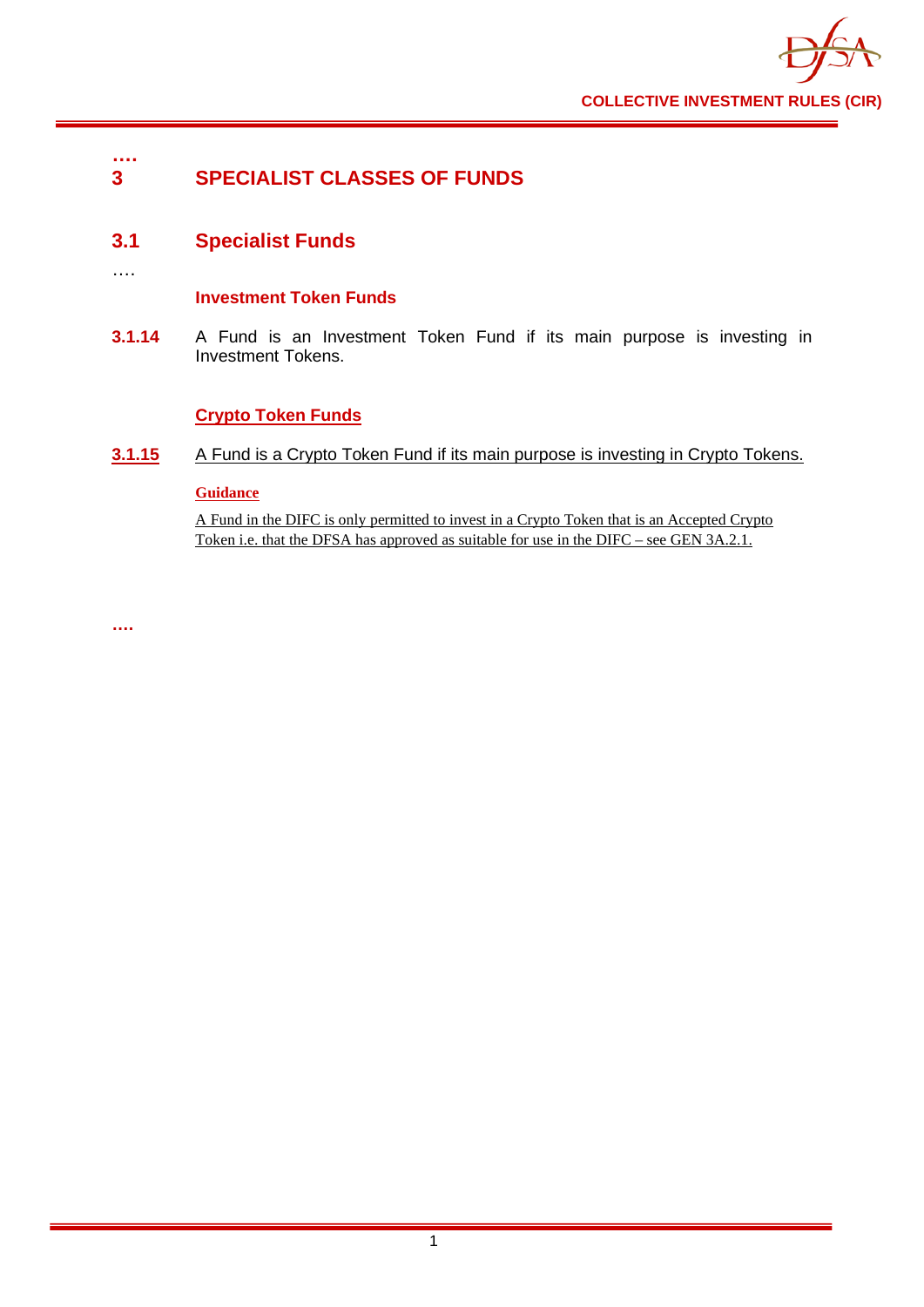

## **3 SPECIALIST CLASSES OF FUNDS**

## **3.1 Specialist Funds**

….

**….**

## **Investment Token Funds**

**3.1.14** A Fund is an Investment Token Fund if its main purpose is investing in Investment Tokens.

## **Crypto Token Funds**

## **3.1.15** A Fund is a Crypto Token Fund if its main purpose is investing in Crypto Tokens.

#### **Guidance**

A Fund in the DIFC is only permitted to invest in a Crypto Token that is an Accepted Crypto Token i.e. that the DFSA has approved as suitable for use in the DIFC – see GEN 3A.2.1.

**….**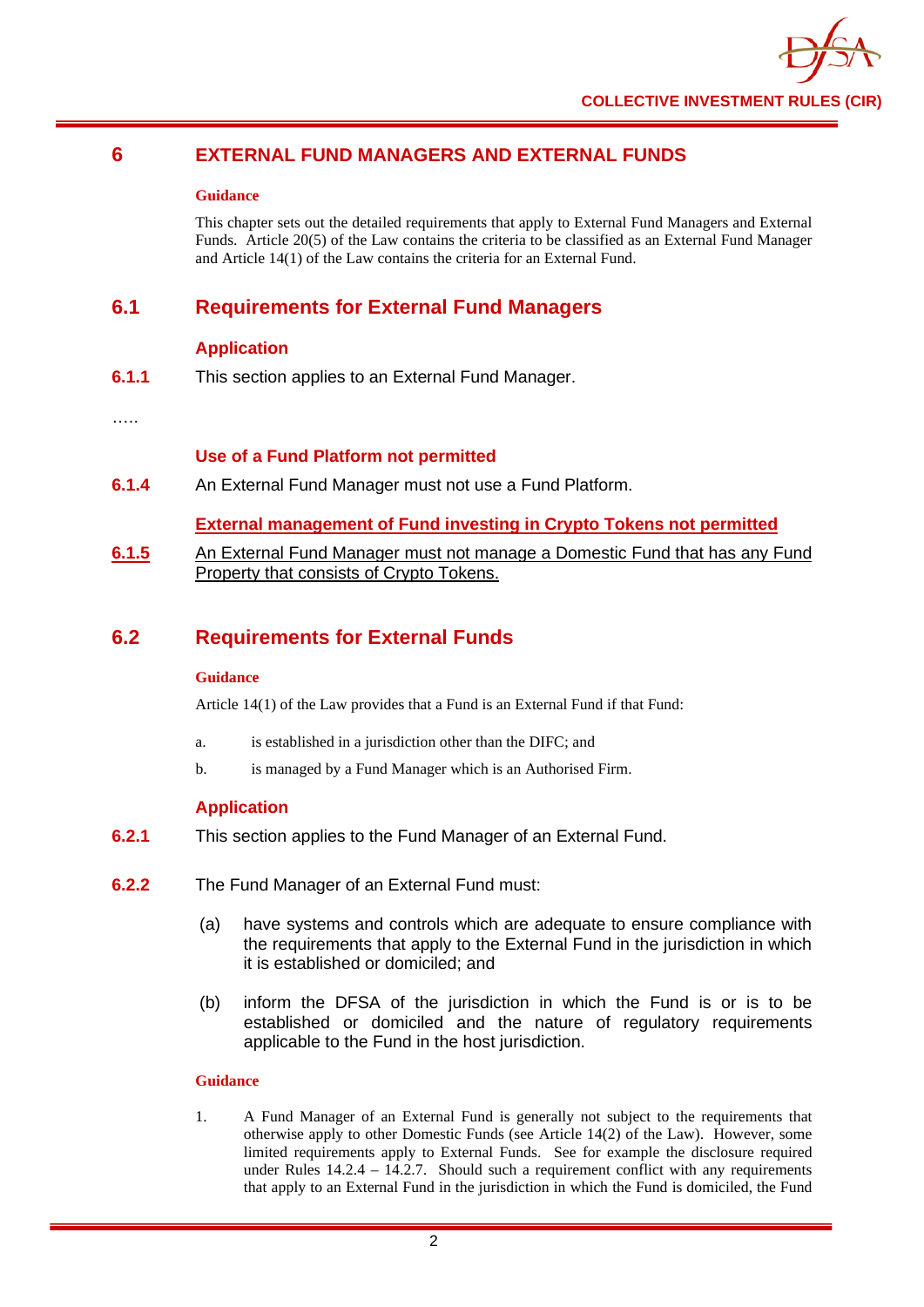

## **6 EXTERNAL FUND MANAGERS AND EXTERNAL FUNDS**

#### **Guidance**

This chapter sets out the detailed requirements that apply to External Fund Managers and External Funds. Article 20(5) of the Law contains the criteria to be classified as an External Fund Manager and Article 14(1) of the Law contains the criteria for an External Fund.

## **6.1 Requirements for External Fund Managers**

## **Application**

**6.1.1** This section applies to an External Fund Manager.

……

## **Use of a Fund Platform not permitted**

**6.1.4** An External Fund Manager must not use a Fund Platform.

## **External management of Fund investing in Crypto Tokens not permitted**

**6.1.5** An External Fund Manager must not manage a Domestic Fund that has any Fund Property that consists of Crypto Tokens.

## **6.2 Requirements for External Funds**

#### **Guidance**

Article 14(1) of the Law provides that a Fund is an External Fund if that Fund:

- a. is established in a jurisdiction other than the DIFC; and
- b. is managed by a Fund Manager which is an Authorised Firm.

## **Application**

- **6.2.1** This section applies to the Fund Manager of an External Fund.
- **6.2.2** The Fund Manager of an External Fund must:
	- (a) have systems and controls which are adequate to ensure compliance with the requirements that apply to the External Fund in the jurisdiction in which it is established or domiciled; and
	- (b) inform the DFSA of the jurisdiction in which the Fund is or is to be established or domiciled and the nature of regulatory requirements applicable to the Fund in the host jurisdiction.

#### **Guidance**

1. A Fund Manager of an External Fund is generally not subject to the requirements that otherwise apply to other Domestic Funds (see Article 14(2) of the Law). However, some limited requirements apply to External Funds. See for example the disclosure required under Rules 14.2.4 – 14.2.7. Should such a requirement conflict with any requirements that apply to an External Fund in the jurisdiction in which the Fund is domiciled, the Fund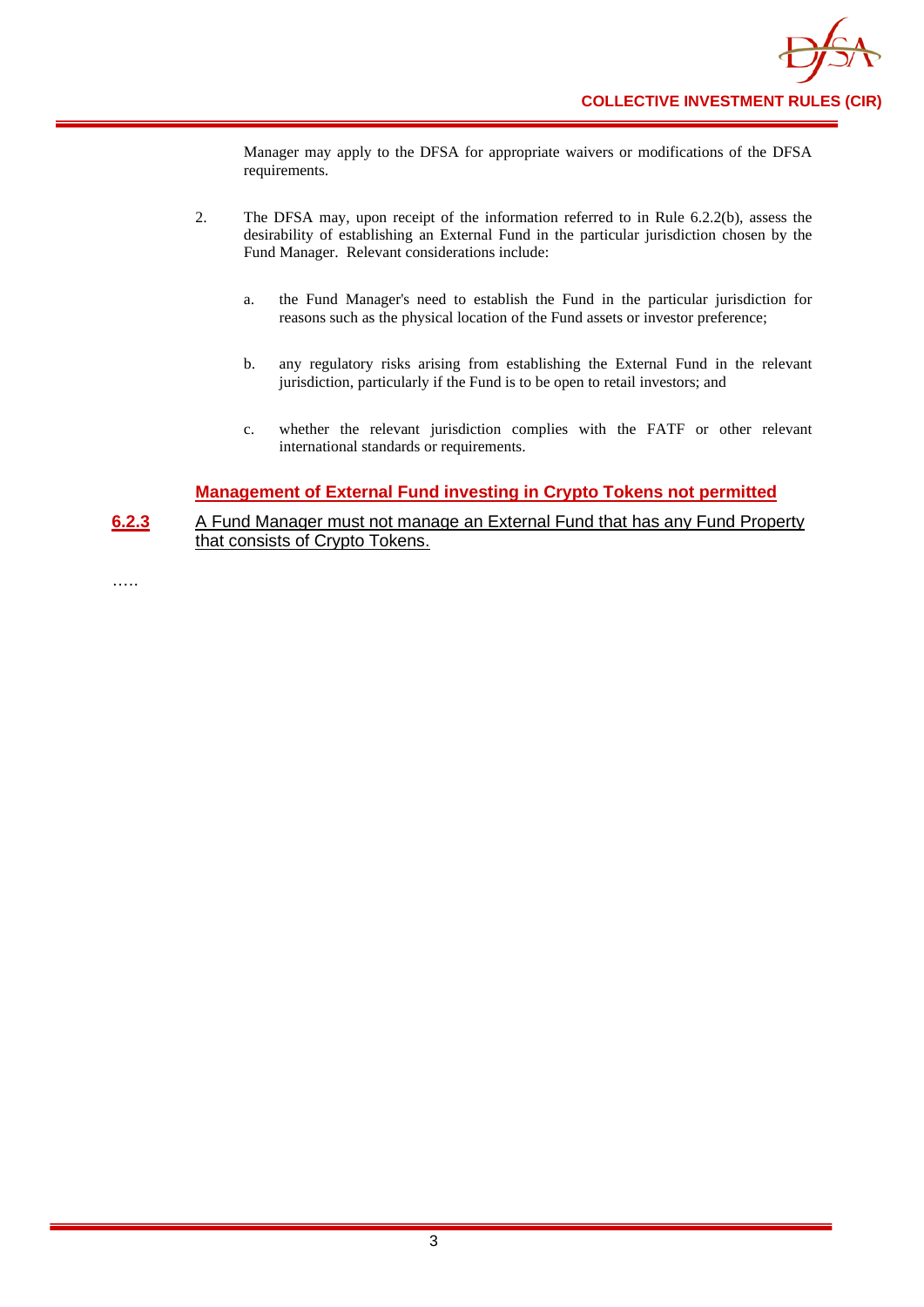

Manager may apply to the DFSA for appropriate waivers or modifications of the DFSA requirements.

- 2. The DFSA may, upon receipt of the information referred to in Rule 6.2.2(b), assess the desirability of establishing an External Fund in the particular jurisdiction chosen by the Fund Manager. Relevant considerations include:
	- a. the Fund Manager's need to establish the Fund in the particular jurisdiction for reasons such as the physical location of the Fund assets or investor preference;
	- b. any regulatory risks arising from establishing the External Fund in the relevant jurisdiction, particularly if the Fund is to be open to retail investors; and
	- c. whether the relevant jurisdiction complies with the FATF or other relevant international standards or requirements.

## **Management of External Fund investing in Crypto Tokens not permitted**

## **6.2.3** A Fund Manager must not manage an External Fund that has any Fund Property that consists of Crypto Tokens.

……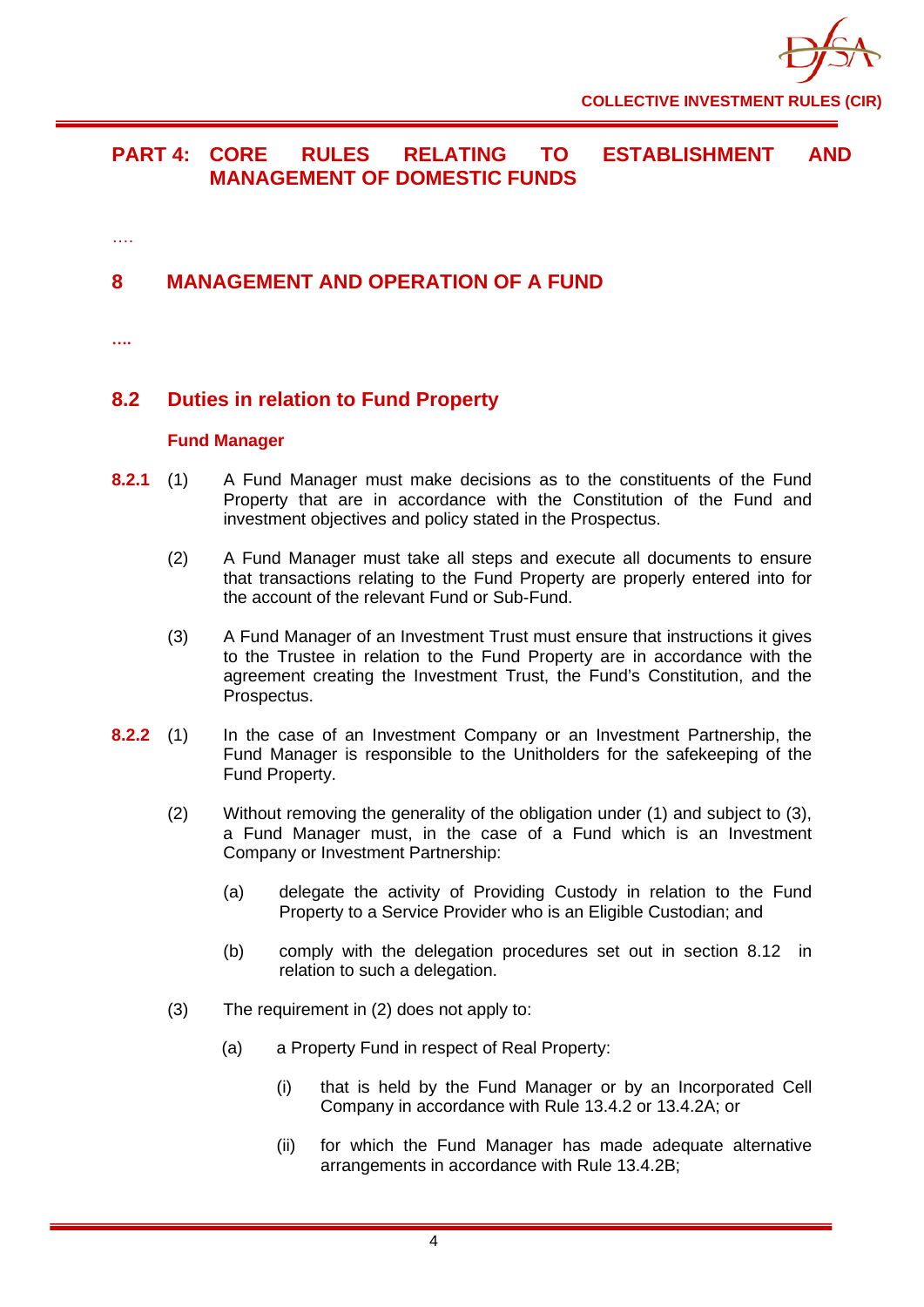

## **PART 4: CORE RULES RELATING TO ESTABLISHMENT AND MANAGEMENT OF DOMESTIC FUNDS**

….

## **8 MANAGEMENT AND OPERATION OF A FUND**

**….**

## **8.2 Duties in relation to Fund Property**

## **Fund Manager**

- **8.2.1** (1) A Fund Manager must make decisions as to the constituents of the Fund Property that are in accordance with the Constitution of the Fund and investment objectives and policy stated in the Prospectus.
	- (2) A Fund Manager must take all steps and execute all documents to ensure that transactions relating to the Fund Property are properly entered into for the account of the relevant Fund or Sub-Fund.
	- (3) A Fund Manager of an Investment Trust must ensure that instructions it gives to the Trustee in relation to the Fund Property are in accordance with the agreement creating the Investment Trust, the Fund's Constitution, and the Prospectus.
- **8.2.2** (1) In the case of an Investment Company or an Investment Partnership, the Fund Manager is responsible to the Unitholders for the safekeeping of the Fund Property.
	- (2) Without removing the generality of the obligation under (1) and subject to (3), a Fund Manager must, in the case of a Fund which is an Investment Company or Investment Partnership:
		- (a) delegate the activity of Providing Custody in relation to the Fund Property to a Service Provider who is an Eligible Custodian; and
		- (b) comply with the delegation procedures set out in section 8.12 in relation to such a delegation.
	- (3) The requirement in (2) does not apply to:
		- (a) a Property Fund in respect of Real Property:
			- (i) that is held by the Fund Manager or by an Incorporated Cell Company in accordance with Rule 13.4.2 or 13.4.2A; or
			- (ii) for which the Fund Manager has made adequate alternative arrangements in accordance with Rule 13.4.2B;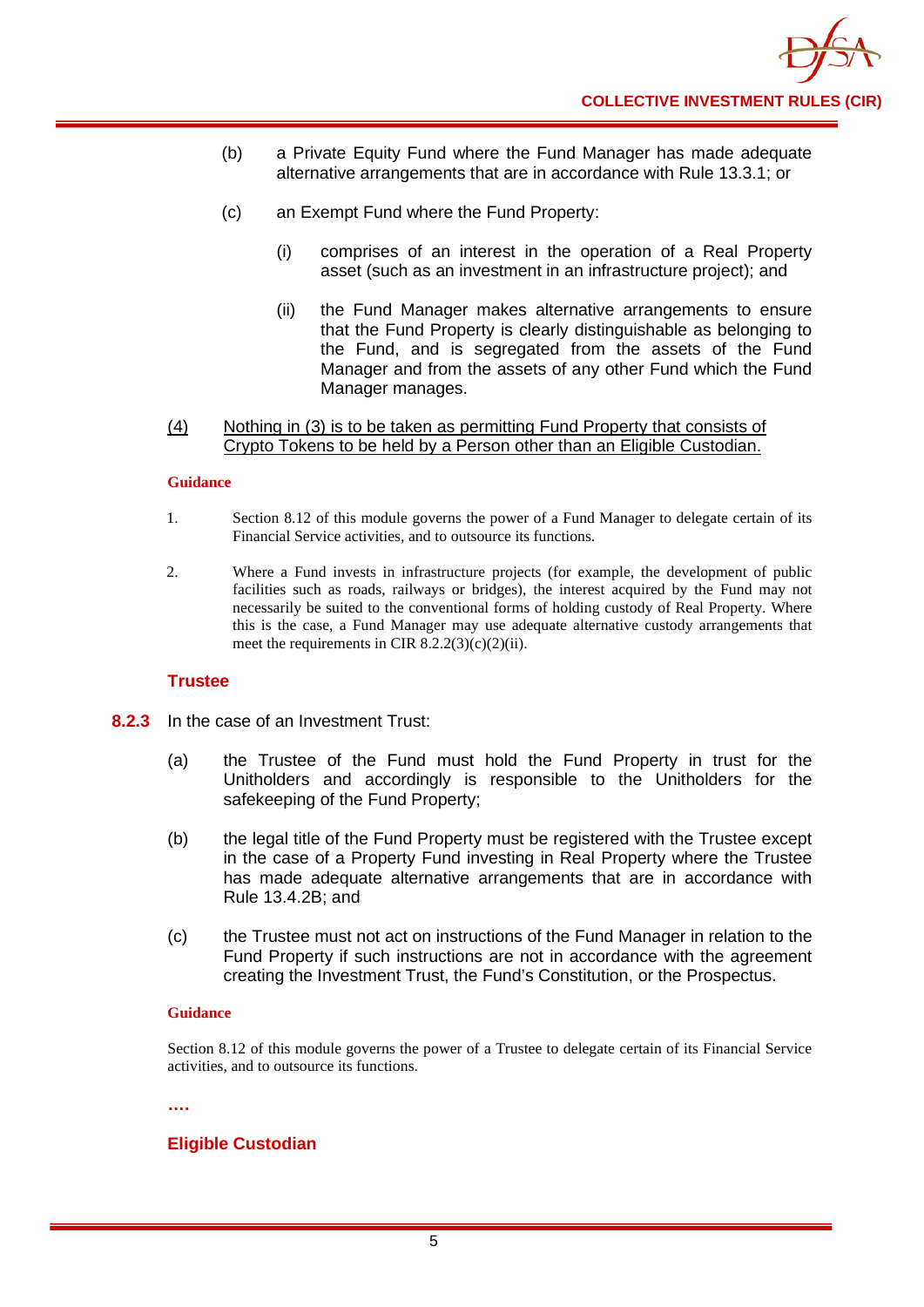

- (b) a Private Equity Fund where the Fund Manager has made adequate alternative arrangements that are in accordance with Rule 13.3.1; or
- (c) an Exempt Fund where the Fund Property:
	- (i) comprises of an interest in the operation of a Real Property asset (such as an investment in an infrastructure project); and
	- (ii) the Fund Manager makes alternative arrangements to ensure that the Fund Property is clearly distinguishable as belonging to the Fund, and is segregated from the assets of the Fund Manager and from the assets of any other Fund which the Fund Manager manages.

#### (4) Nothing in (3) is to be taken as permitting Fund Property that consists of Crypto Tokens to be held by a Person other than an Eligible Custodian.

#### **Guidance**

- 1. Section 8.12 of this module governs the power of a Fund Manager to delegate certain of its Financial Service activities, and to outsource its functions.
- 2. Where a Fund invests in infrastructure projects (for example, the development of public facilities such as roads, railways or bridges), the interest acquired by the Fund may not necessarily be suited to the conventional forms of holding custody of Real Property. Where this is the case, a Fund Manager may use adequate alternative custody arrangements that meet the requirements in CIR  $8.2.2(3)(c)(2)(ii)$ .

#### **Trustee**

- **8.2.3** In the case of an Investment Trust:
	- (a) the Trustee of the Fund must hold the Fund Property in trust for the Unitholders and accordingly is responsible to the Unitholders for the safekeeping of the Fund Property;
	- (b) the legal title of the Fund Property must be registered with the Trustee except in the case of a Property Fund investing in Real Property where the Trustee has made adequate alternative arrangements that are in accordance with Rule 13.4.2B; and
	- (c) the Trustee must not act on instructions of the Fund Manager in relation to the Fund Property if such instructions are not in accordance with the agreement creating the Investment Trust, the Fund's Constitution, or the Prospectus.

#### **Guidance**

Section 8.12 of this module governs the power of a Trustee to delegate certain of its Financial Service activities, and to outsource its functions.

**….** 

#### **Eligible Custodian**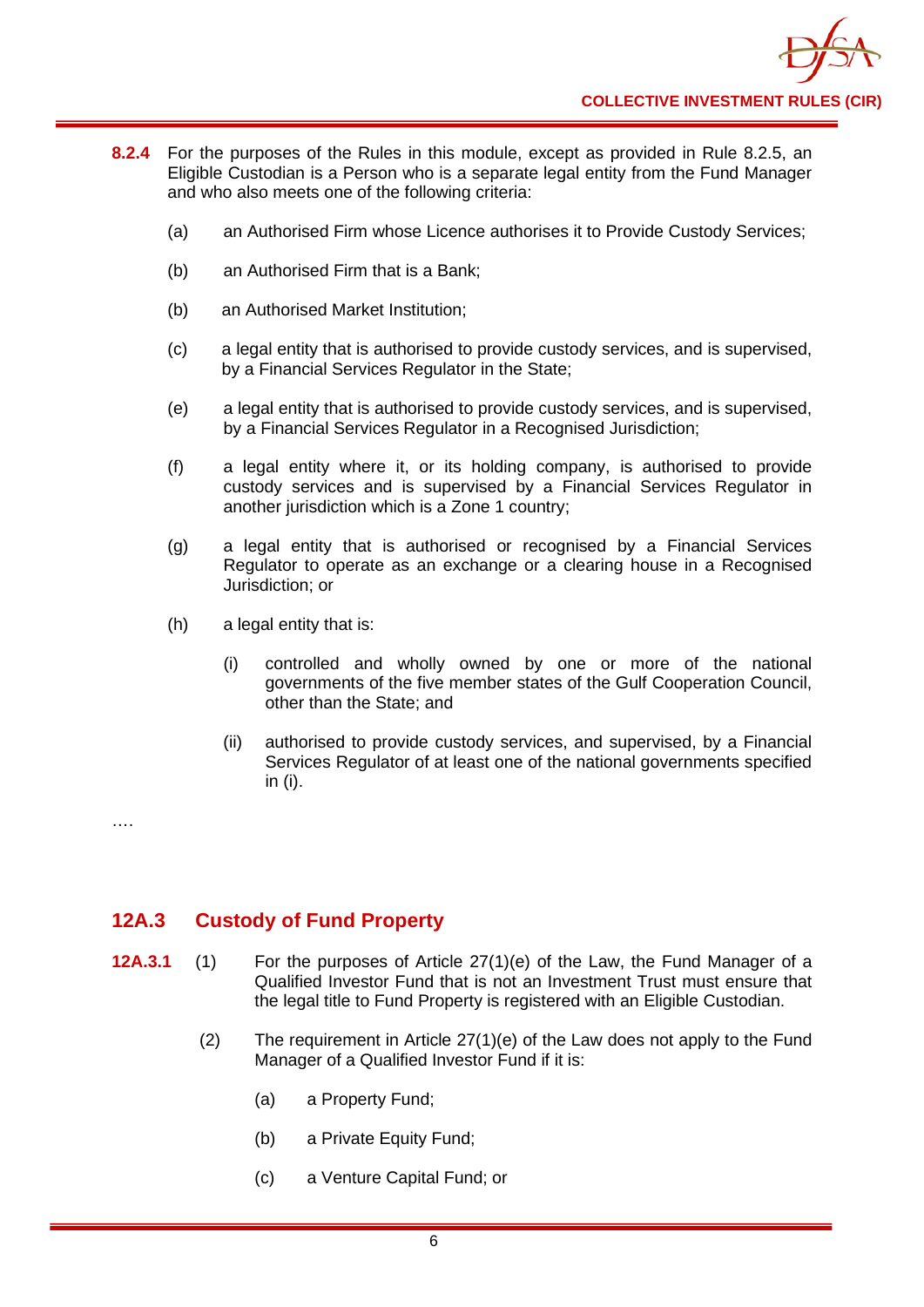

- **8.2.4** For the purposes of the Rules in this module, except as provided in Rule 8.2.5, an Eligible Custodian is a Person who is a separate legal entity from the Fund Manager and who also meets one of the following criteria:
	- (a) an Authorised Firm whose Licence authorises it to Provide Custody Services;
	- (b) an Authorised Firm that is a Bank;
	- (b) an Authorised Market Institution;
	- (c) a legal entity that is authorised to provide custody services, and is supervised, by a Financial Services Regulator in the State;
	- (e) a legal entity that is authorised to provide custody services, and is supervised, by a Financial Services Regulator in a Recognised Jurisdiction;
	- (f) a legal entity where it, or its holding company, is authorised to provide custody services and is supervised by a Financial Services Regulator in another jurisdiction which is a Zone 1 country;
	- (g) a legal entity that is authorised or recognised by a Financial Services Regulator to operate as an exchange or a clearing house in a Recognised Jurisdiction; or
	- (h) a legal entity that is:
		- (i) controlled and wholly owned by one or more of the national governments of the five member states of the Gulf Cooperation Council, other than the State; and
		- (ii) authorised to provide custody services, and supervised, by a Financial Services Regulator of at least one of the national governments specified in (i).

….

## **12A.3 Custody of Fund Property**

- **12A.3.1** (1) For the purposes of Article 27(1)(e) of the Law, the Fund Manager of a Qualified Investor Fund that is not an Investment Trust must ensure that the legal title to Fund Property is registered with an Eligible Custodian.
	- (2) The requirement in Article 27(1)(e) of the Law does not apply to the Fund Manager of a Qualified Investor Fund if it is:
		- (a) a Property Fund;
		- (b) a Private Equity Fund;
		- (c) a Venture Capital Fund; or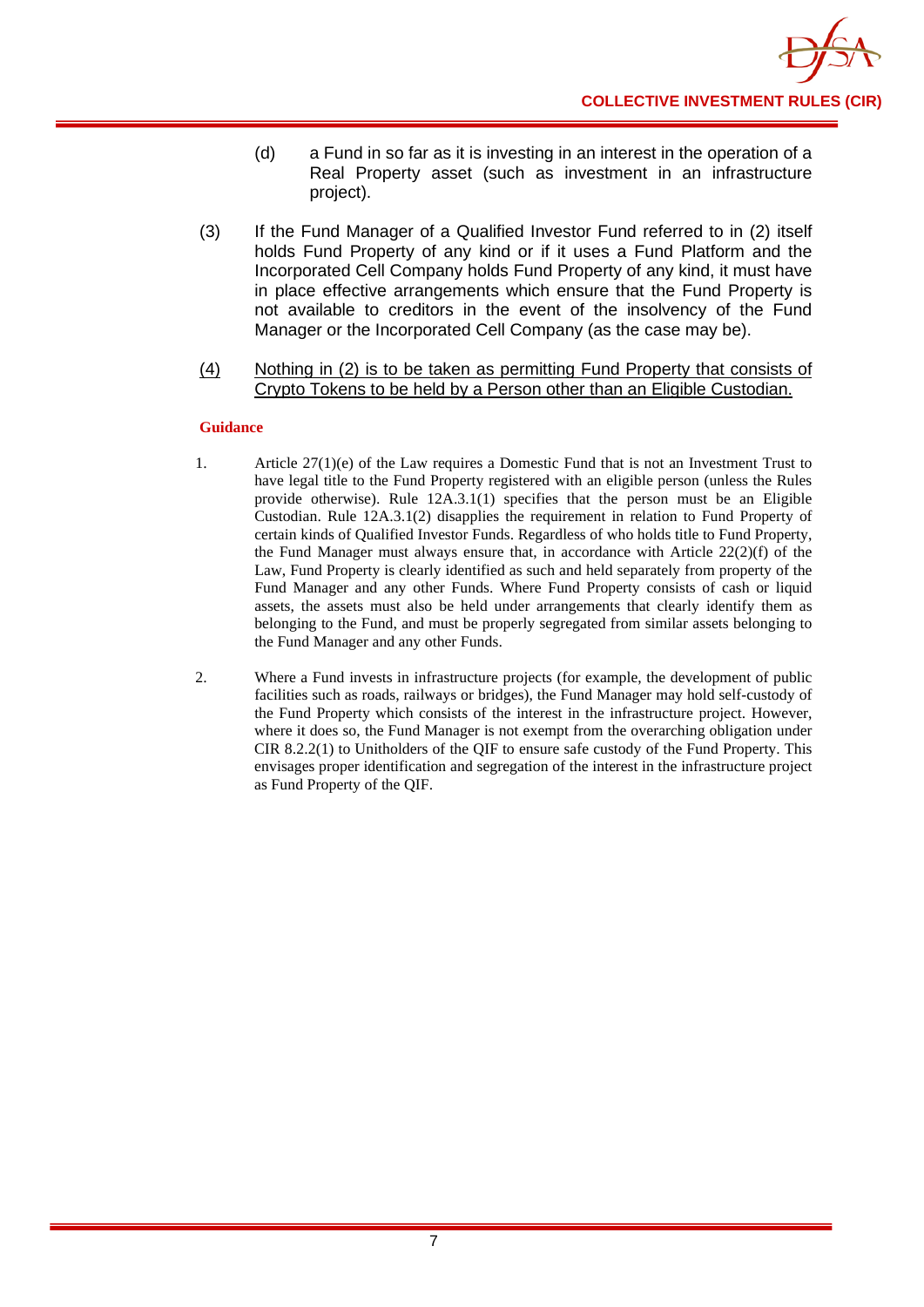- (d) a Fund in so far as it is investing in an interest in the operation of a Real Property asset (such as investment in an infrastructure project).
- (3) If the Fund Manager of a Qualified Investor Fund referred to in (2) itself holds Fund Property of any kind or if it uses a Fund Platform and the Incorporated Cell Company holds Fund Property of any kind, it must have in place effective arrangements which ensure that the Fund Property is not available to creditors in the event of the insolvency of the Fund Manager or the Incorporated Cell Company (as the case may be).

#### (4) Nothing in (2) is to be taken as permitting Fund Property that consists of Crypto Tokens to be held by a Person other than an Eligible Custodian.

#### **Guidance**

- 1. Article 27(1)(e) of the Law requires a Domestic Fund that is not an Investment Trust to have legal title to the Fund Property registered with an eligible person (unless the Rules provide otherwise). Rule 12A.3.1(1) specifies that the person must be an Eligible Custodian. Rule 12A.3.1(2) disapplies the requirement in relation to Fund Property of certain kinds of Qualified Investor Funds. Regardless of who holds title to Fund Property, the Fund Manager must always ensure that, in accordance with Article 22(2)(f) of the Law, Fund Property is clearly identified as such and held separately from property of the Fund Manager and any other Funds. Where Fund Property consists of cash or liquid assets, the assets must also be held under arrangements that clearly identify them as belonging to the Fund, and must be properly segregated from similar assets belonging to the Fund Manager and any other Funds.
- 2. Where a Fund invests in infrastructure projects (for example, the development of public facilities such as roads, railways or bridges), the Fund Manager may hold self-custody of the Fund Property which consists of the interest in the infrastructure project. However, where it does so, the Fund Manager is not exempt from the overarching obligation under CIR 8.2.2(1) to Unitholders of the QIF to ensure safe custody of the Fund Property. This envisages proper identification and segregation of the interest in the infrastructure project as Fund Property of the QIF.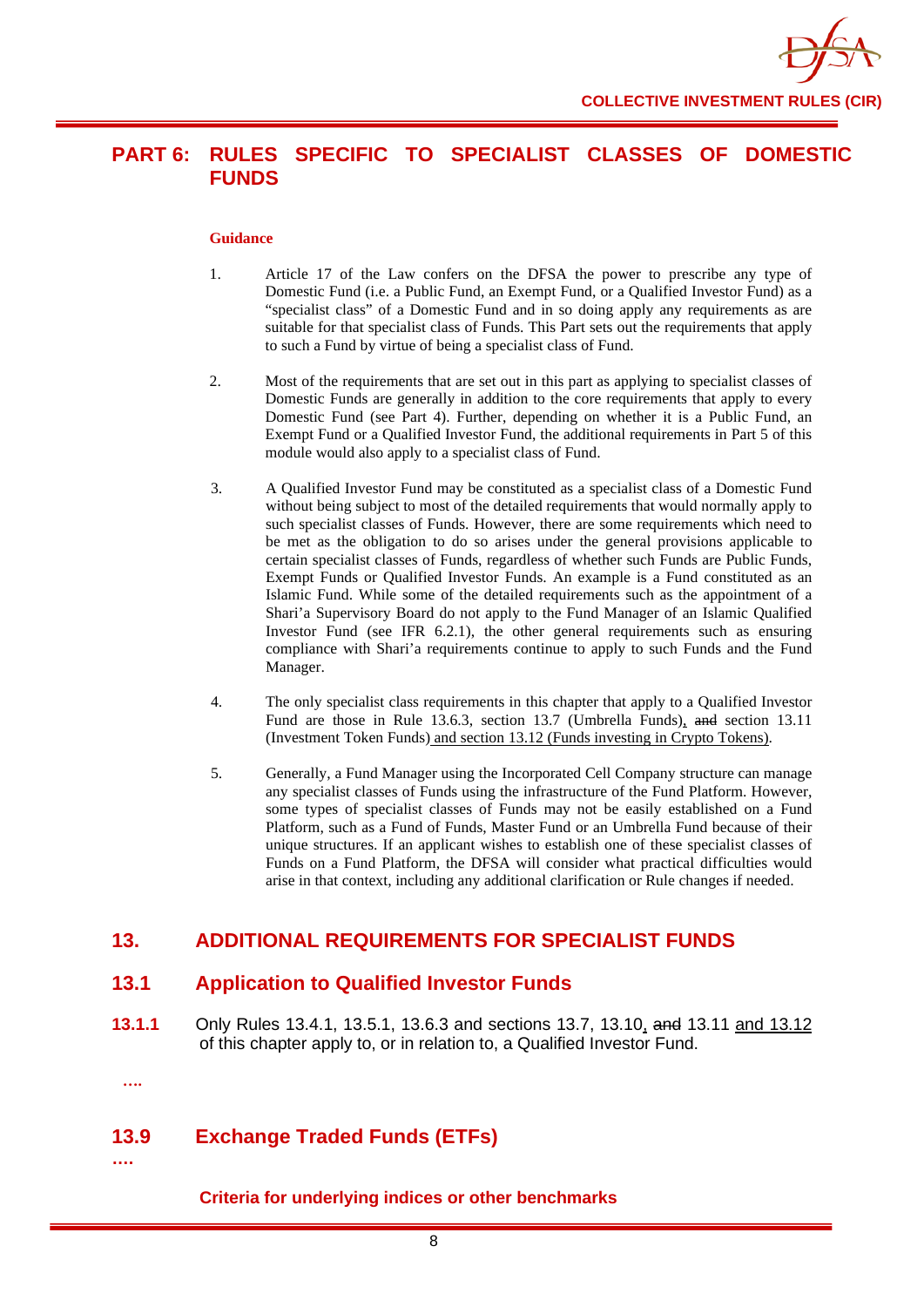

## **PART 6: RULES SPECIFIC TO SPECIALIST CLASSES OF DOMESTIC FUNDS**

#### **Guidance**

- 1. Article 17 of the Law confers on the DFSA the power to prescribe any type of Domestic Fund (i.e. a Public Fund, an Exempt Fund, or a Qualified Investor Fund) as a "specialist class" of a Domestic Fund and in so doing apply any requirements as are suitable for that specialist class of Funds. This Part sets out the requirements that apply to such a Fund by virtue of being a specialist class of Fund.
- 2. Most of the requirements that are set out in this part as applying to specialist classes of Domestic Funds are generally in addition to the core requirements that apply to every Domestic Fund (see Part 4). Further, depending on whether it is a Public Fund, an Exempt Fund or a Qualified Investor Fund, the additional requirements in Part 5 of this module would also apply to a specialist class of Fund.
- 3. A Qualified Investor Fund may be constituted as a specialist class of a Domestic Fund without being subject to most of the detailed requirements that would normally apply to such specialist classes of Funds. However, there are some requirements which need to be met as the obligation to do so arises under the general provisions applicable to certain specialist classes of Funds, regardless of whether such Funds are Public Funds, Exempt Funds or Qualified Investor Funds. An example is a Fund constituted as an Islamic Fund. While some of the detailed requirements such as the appointment of a Shari'a Supervisory Board do not apply to the Fund Manager of an Islamic Qualified Investor Fund (see IFR 6.2.1), the other general requirements such as ensuring compliance with Shari'a requirements continue to apply to such Funds and the Fund Manager.
- 4. The only specialist class requirements in this chapter that apply to a Qualified Investor Fund are those in Rule 13.6.3, section 13.7 (Umbrella Funds), and section 13.11 (Investment Token Funds) and section 13.12 (Funds investing in Crypto Tokens).
- 5. Generally, a Fund Manager using the Incorporated Cell Company structure can manage any specialist classes of Funds using the infrastructure of the Fund Platform. However, some types of specialist classes of Funds may not be easily established on a Fund Platform, such as a Fund of Funds, Master Fund or an Umbrella Fund because of their unique structures. If an applicant wishes to establish one of these specialist classes of Funds on a Fund Platform, the DFSA will consider what practical difficulties would arise in that context, including any additional clarification or Rule changes if needed.

## **13. ADDITIONAL REQUIREMENTS FOR SPECIALIST FUNDS**

## **13.1 Application to Qualified Investor Funds**

**13.1.1** Only Rules 13.4.1, 13.5.1, 13.6.3 and sections 13.7, 13.10, and 13.11 and 13.12 of this chapter apply to, or in relation to, a Qualified Investor Fund.

**….**

## **13.9 Exchange Traded Funds (ETFs)**

**….**

**Criteria for underlying indices or other benchmarks**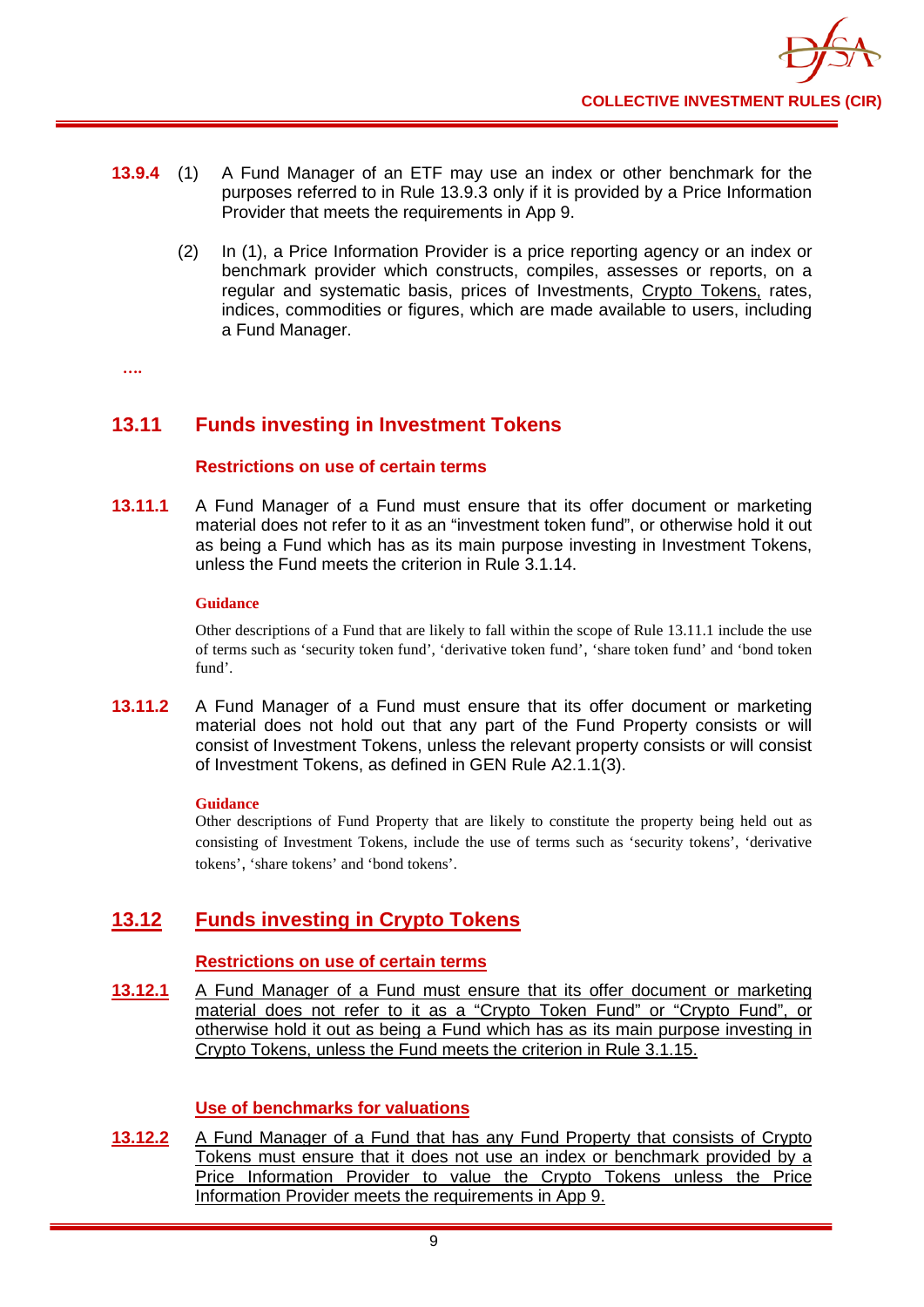

- **13.9.4** (1) A Fund Manager of an ETF may use an index or other benchmark for the purposes referred to in Rule 13.9.3 only if it is provided by a Price Information Provider that meets the requirements in App 9.
	- (2) In (1), a Price Information Provider is a price reporting agency or an index or benchmark provider which constructs, compiles, assesses or reports, on a regular and systematic basis, prices of Investments, Crypto Tokens, rates, indices, commodities or figures, which are made available to users, including a Fund Manager.

**….**

## **13.11 Funds investing in Investment Tokens**

## **Restrictions on use of certain terms**

**13.11.1** A Fund Manager of a Fund must ensure that its offer document or marketing material does not refer to it as an "investment token fund", or otherwise hold it out as being a Fund which has as its main purpose investing in Investment Tokens, unless the Fund meets the criterion in Rule 3.1.14.

## **Guidance**

Other descriptions of a Fund that are likely to fall within the scope of Rule 13.11.1 include the use of terms such as 'security token fund', 'derivative token fund', 'share token fund' and 'bond token fund'.

**13.11.2** A Fund Manager of a Fund must ensure that its offer document or marketing material does not hold out that any part of the Fund Property consists or will consist of Investment Tokens, unless the relevant property consists or will consist of Investment Tokens, as defined in GEN Rule A2.1.1(3).

#### **Guidance**

Other descriptions of Fund Property that are likely to constitute the property being held out as consisting of Investment Tokens, include the use of terms such as 'security tokens', 'derivative tokens', 'share tokens' and 'bond tokens'.

## **13.12 Funds investing in Crypto Tokens**

## **Restrictions on use of certain terms**

**13.12.1** A Fund Manager of a Fund must ensure that its offer document or marketing material does not refer to it as a "Crypto Token Fund" or "Crypto Fund", or otherwise hold it out as being a Fund which has as its main purpose investing in Crypto Tokens, unless the Fund meets the criterion in Rule 3.1.15.

## **Use of benchmarks for valuations**

**13.12.2** A Fund Manager of a Fund that has any Fund Property that consists of Crypto Tokens must ensure that it does not use an index or benchmark provided by a Price Information Provider to value the Crypto Tokens unless the Price Information Provider meets the requirements in App 9.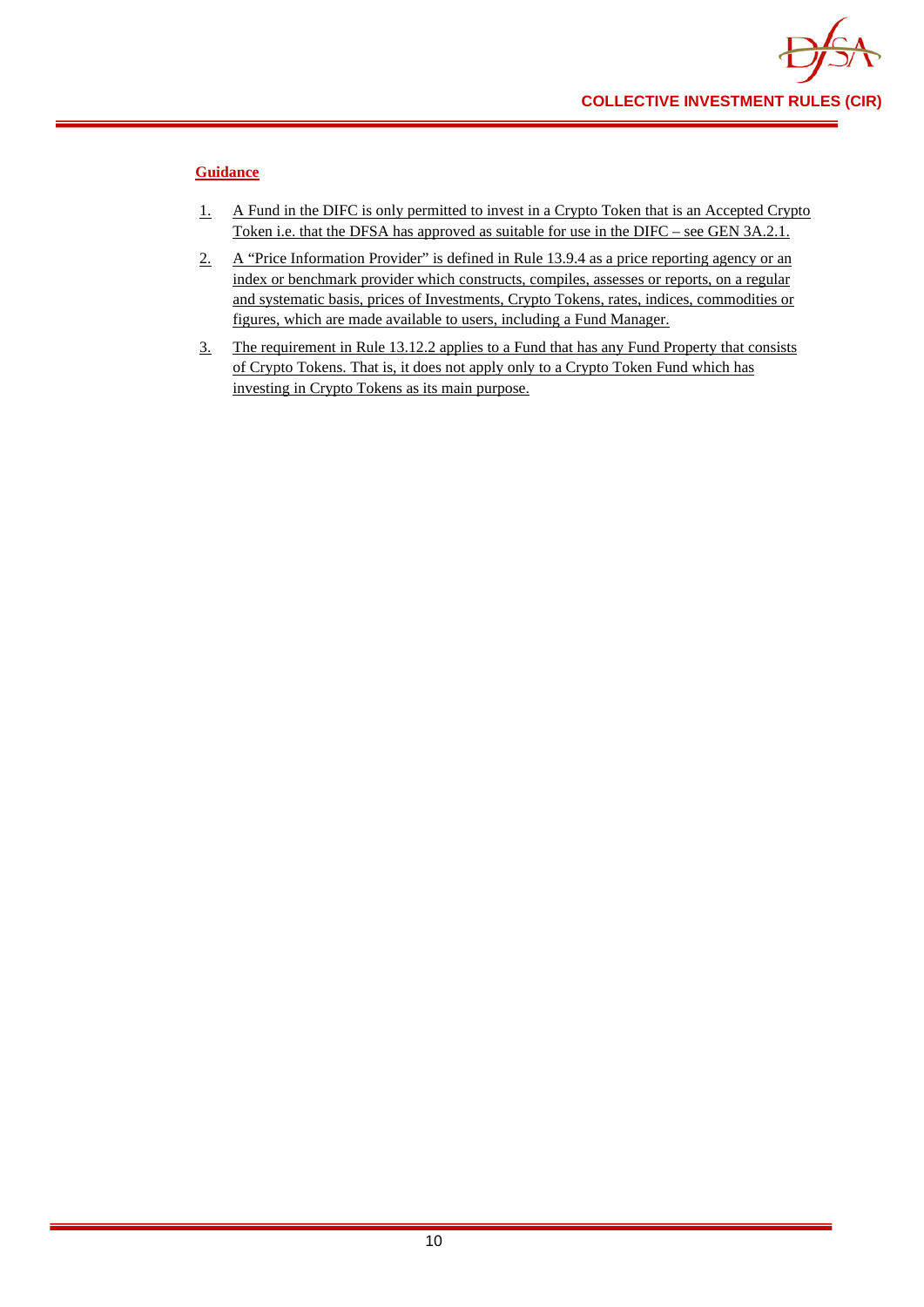

## **Guidance**

- 1. A Fund in the DIFC is only permitted to invest in a Crypto Token that is an Accepted Crypto Token i.e. that the DFSA has approved as suitable for use in the DIFC – see GEN 3A.2.1.
- 2. A "Price Information Provider" is defined in Rule 13.9.4 as a price reporting agency or an index or benchmark provider which constructs, compiles, assesses or reports, on a regular and systematic basis, prices of Investments, Crypto Tokens, rates, indices, commodities or figures, which are made available to users, including a Fund Manager.
- 3. The requirement in Rule 13.12.2 applies to a Fund that has any Fund Property that consists of Crypto Tokens. That is, it does not apply only to a Crypto Token Fund which has investing in Crypto Tokens as its main purpose.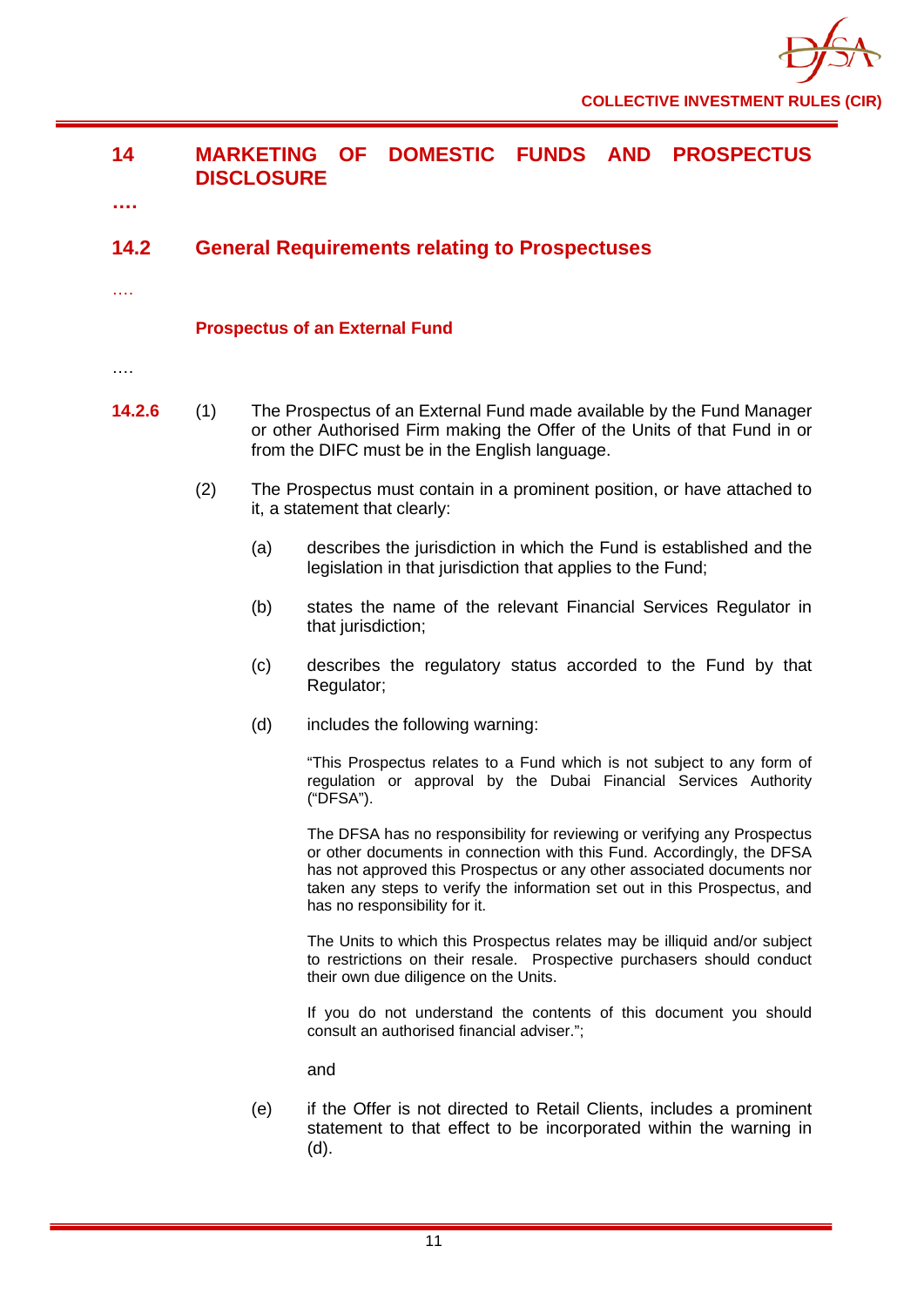## **14 MARKETING OF DOMESTIC FUNDS AND PROSPECTUS DISCLOSURE**

**….**

## **14.2 General Requirements relating to Prospectuses**

….

## **Prospectus of an External Fund**

….

- **14.2.6** (1) The Prospectus of an External Fund made available by the Fund Manager or other Authorised Firm making the Offer of the Units of that Fund in or from the DIFC must be in the English language.
	- (2) The Prospectus must contain in a prominent position, or have attached to it, a statement that clearly:
		- (a) describes the jurisdiction in which the Fund is established and the legislation in that jurisdiction that applies to the Fund;
		- (b) states the name of the relevant Financial Services Regulator in that jurisdiction:
		- (c) describes the regulatory status accorded to the Fund by that Regulator;
		- (d) includes the following warning:

"This Prospectus relates to a Fund which is not subject to any form of regulation or approval by the Dubai Financial Services Authority ("DFSA").

The DFSA has no responsibility for reviewing or verifying any Prospectus or other documents in connection with this Fund. Accordingly, the DFSA has not approved this Prospectus or any other associated documents nor taken any steps to verify the information set out in this Prospectus, and has no responsibility for it.

The Units to which this Prospectus relates may be illiquid and/or subject to restrictions on their resale. Prospective purchasers should conduct their own due diligence on the Units.

If you do not understand the contents of this document you should consult an authorised financial adviser.";

and

(e) if the Offer is not directed to Retail Clients, includes a prominent statement to that effect to be incorporated within the warning in (d).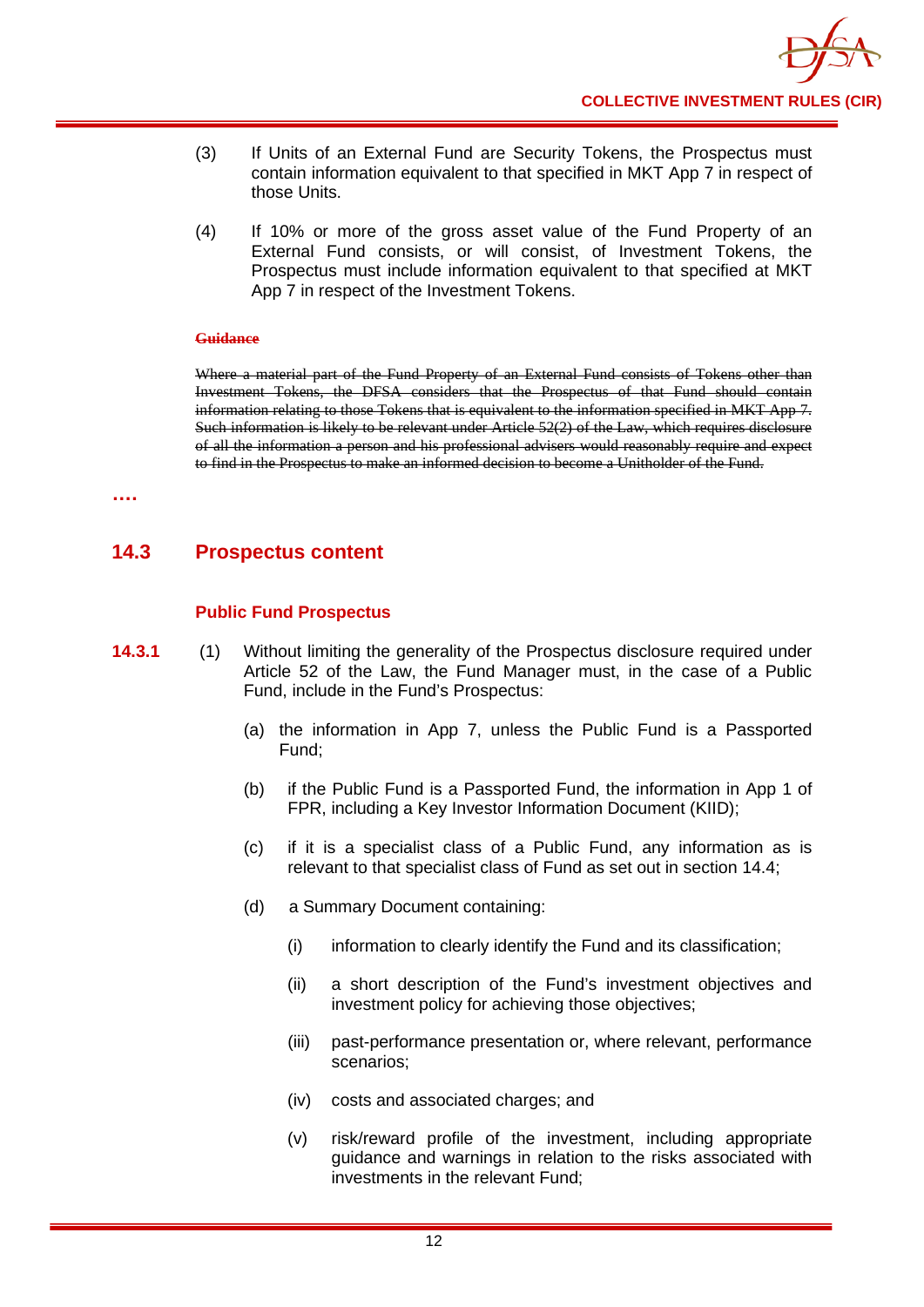

- (3) If Units of an External Fund are Security Tokens, the Prospectus must contain information equivalent to that specified in MKT App 7 in respect of those Units.
- (4) If 10% or more of the gross asset value of the Fund Property of an External Fund consists, or will consist, of Investment Tokens, the Prospectus must include information equivalent to that specified at MKT App 7 in respect of the Investment Tokens.

#### **Guidance**

Where a material part of the Fund Property of an External Fund consists of Tokens other than Investment Tokens, the DFSA considers that the Prospectus of that Fund should contain information relating to those Tokens that is equivalent to the information specified in MKT App 7. Such information is likely to be relevant under Article 52(2) of the Law, which requires disclosure of all the information a person and his professional advisers would reasonably require and expect to find in the Prospectus to make an informed decision to become a Unitholder of the Fund.

**….**

## **14.3 Prospectus content**

## **Public Fund Prospectus**

- **14.3.1** (1) Without limiting the generality of the Prospectus disclosure required under Article 52 of the Law, the Fund Manager must, in the case of a Public Fund, include in the Fund's Prospectus:
	- (a) the information in App 7, unless the Public Fund is a Passported Fund;
	- (b) if the Public Fund is a Passported Fund, the information in App 1 of FPR, including a Key Investor Information Document (KIID);
	- (c) if it is a specialist class of a Public Fund, any information as is relevant to that specialist class of Fund as set out in section 14.4;
	- (d) a Summary Document containing:
		- (i) information to clearly identify the Fund and its classification;
		- (ii) a short description of the Fund's investment objectives and investment policy for achieving those objectives;
		- (iii) past-performance presentation or, where relevant, performance scenarios;
		- (iv) costs and associated charges; and
		- (v) risk/reward profile of the investment, including appropriate guidance and warnings in relation to the risks associated with investments in the relevant Fund;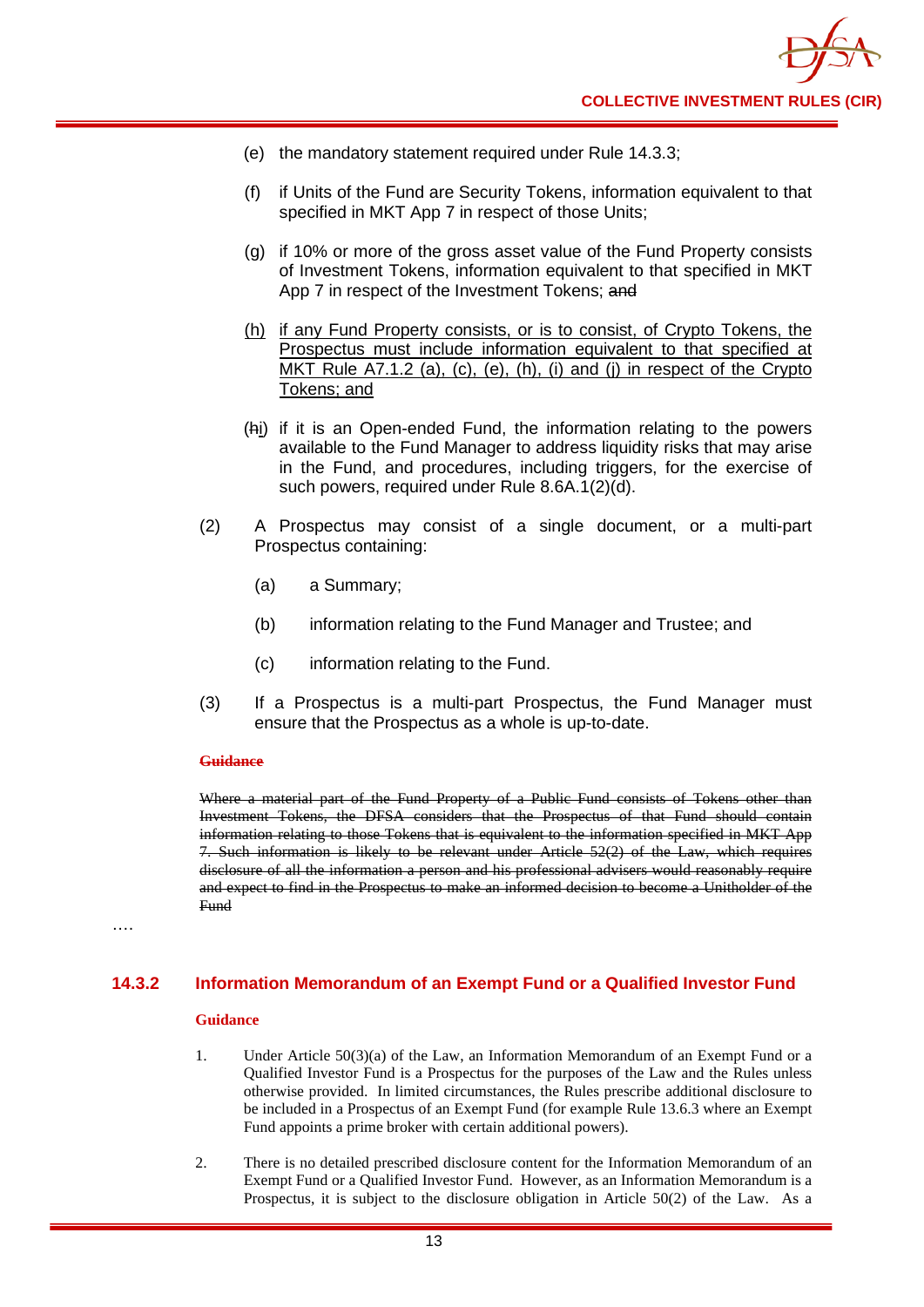

- (e) the mandatory statement required under Rule 14.3.3;
- (f) if Units of the Fund are Security Tokens, information equivalent to that specified in MKT App 7 in respect of those Units;
- (g) if 10% or more of the gross asset value of the Fund Property consists of Investment Tokens, information equivalent to that specified in MKT App 7 in respect of the Investment Tokens; and
- (h) if any Fund Property consists, or is to consist, of Crypto Tokens, the Prospectus must include information equivalent to that specified at MKT Rule A7.1.2 (a), (c), (e), (h), (i) and (j) in respect of the Crypto Tokens; and
- (hi) if it is an Open-ended Fund, the information relating to the powers available to the Fund Manager to address liquidity risks that may arise in the Fund, and procedures, including triggers, for the exercise of such powers, required under Rule 8.6A.1(2)(d).
- (2) A Prospectus may consist of a single document, or a multi-part Prospectus containing:
	- (a) a Summary;
	- (b) information relating to the Fund Manager and Trustee; and
	- (c) information relating to the Fund.
- (3) If a Prospectus is a multi-part Prospectus, the Fund Manager must ensure that the Prospectus as a whole is up-to-date.

#### **Guidance**

Where a material part of the Fund Property of a Public Fund consists of Tokens other than Investment Tokens, the DFSA considers that the Prospectus of that Fund should contain information relating to those Tokens that is equivalent to the information specified in MKT App 7. Such information is likely to be relevant under Article 52(2) of the Law, which requires disclosure of all the information a person and his professional advisers would reasonably require and expect to find in the Prospectus to make an informed decision to become a Unitholder of the **Fund** 

….

## **14.3.2 Information Memorandum of an Exempt Fund or a Qualified Investor Fund**

#### **Guidance**

- 1. Under Article 50(3)(a) of the Law, an Information Memorandum of an Exempt Fund or a Qualified Investor Fund is a Prospectus for the purposes of the Law and the Rules unless otherwise provided. In limited circumstances, the Rules prescribe additional disclosure to be included in a Prospectus of an Exempt Fund (for example Rule 13.6.3 where an Exempt Fund appoints a prime broker with certain additional powers).
- 2. There is no detailed prescribed disclosure content for the Information Memorandum of an Exempt Fund or a Qualified Investor Fund. However, as an Information Memorandum is a Prospectus, it is subject to the disclosure obligation in Article 50(2) of the Law. As a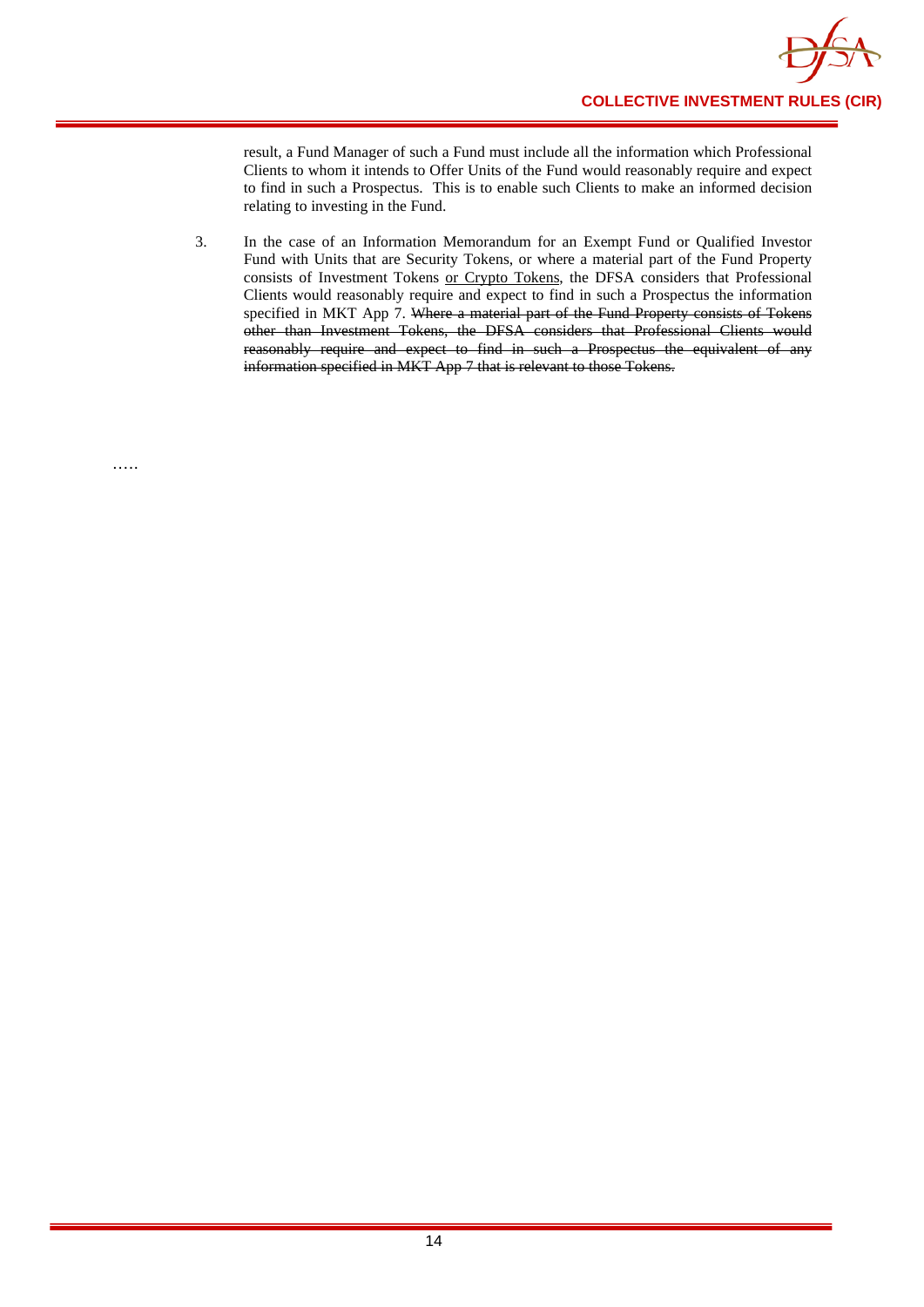

result, a Fund Manager of such a Fund must include all the information which Professional Clients to whom it intends to Offer Units of the Fund would reasonably require and expect to find in such a Prospectus. This is to enable such Clients to make an informed decision relating to investing in the Fund.

3. In the case of an Information Memorandum for an Exempt Fund or Qualified Investor Fund with Units that are Security Tokens, or where a material part of the Fund Property consists of Investment Tokens or Crypto Tokens, the DFSA considers that Professional Clients would reasonably require and expect to find in such a Prospectus the information specified in MKT App 7. Where a material part of the Fund Property consists of Tokens other than Investment Tokens, the DFSA considers that Professional Clients would reasonably require and expect to find in such a Prospectus the equivalent of any information specified in MKT App 7 that is relevant to those Tokens.

……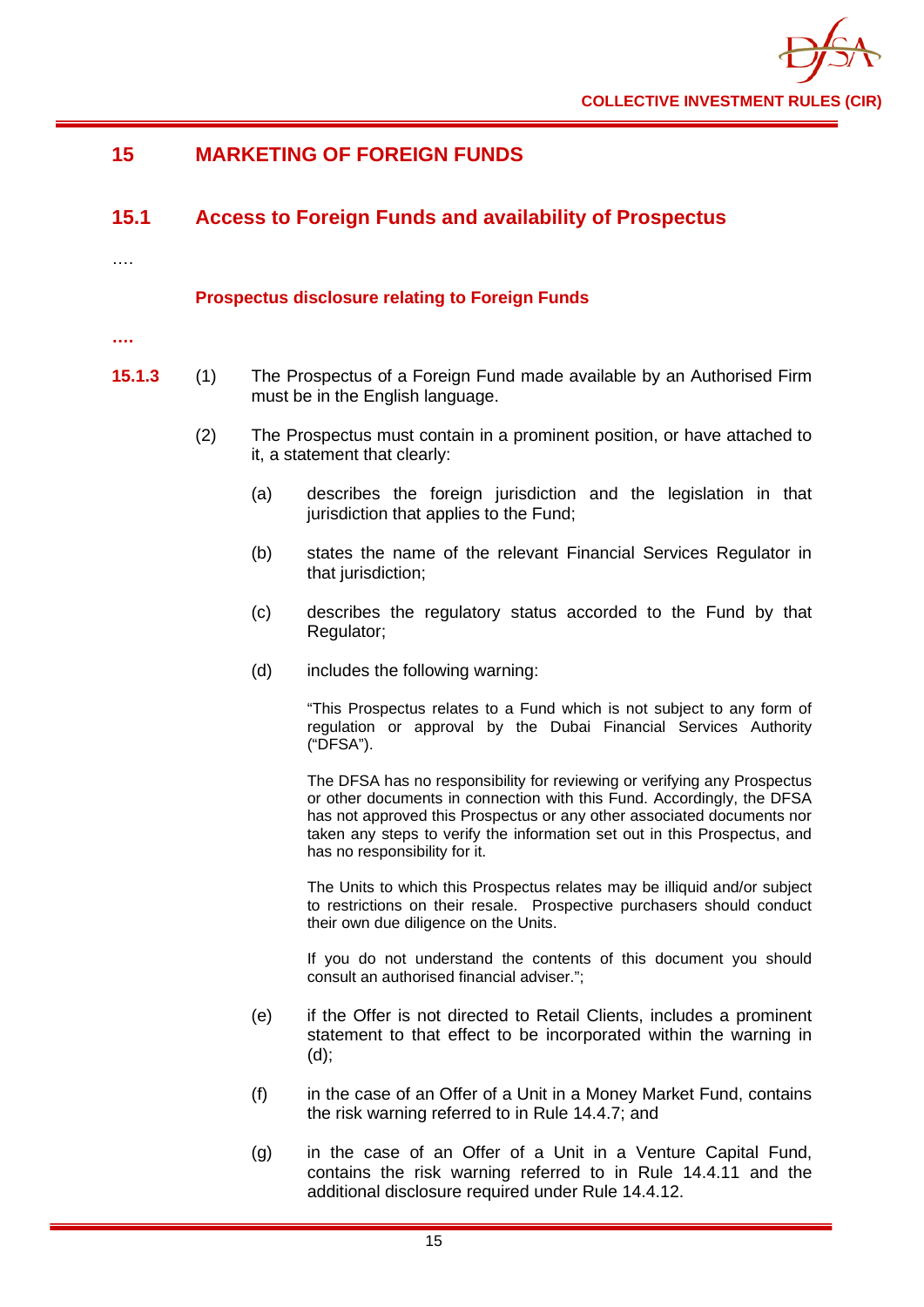

## **15 MARKETING OF FOREIGN FUNDS**

## **15.1 Access to Foreign Funds and availability of Prospectus**

….

## **Prospectus disclosure relating to Foreign Funds**

## **….**

- **15.1.3** (1) The Prospectus of a Foreign Fund made available by an Authorised Firm must be in the English language.
	- (2) The Prospectus must contain in a prominent position, or have attached to it, a statement that clearly:
		- (a) describes the foreign jurisdiction and the legislation in that jurisdiction that applies to the Fund;
		- (b) states the name of the relevant Financial Services Regulator in that jurisdiction;
		- (c) describes the regulatory status accorded to the Fund by that Regulator;
		- (d) includes the following warning:

"This Prospectus relates to a Fund which is not subject to any form of regulation or approval by the Dubai Financial Services Authority ("DFSA").

The DFSA has no responsibility for reviewing or verifying any Prospectus or other documents in connection with this Fund. Accordingly, the DFSA has not approved this Prospectus or any other associated documents nor taken any steps to verify the information set out in this Prospectus, and has no responsibility for it.

The Units to which this Prospectus relates may be illiquid and/or subject to restrictions on their resale. Prospective purchasers should conduct their own due diligence on the Units.

If you do not understand the contents of this document you should consult an authorised financial adviser.";

- (e) if the Offer is not directed to Retail Clients, includes a prominent statement to that effect to be incorporated within the warning in (d);
- (f) in the case of an Offer of a Unit in a Money Market Fund, contains the risk warning referred to in Rule 14.4.7; and
- (g) in the case of an Offer of a Unit in a Venture Capital Fund, contains the risk warning referred to in Rule 14.4.11 and the additional disclosure required under Rule 14.4.12.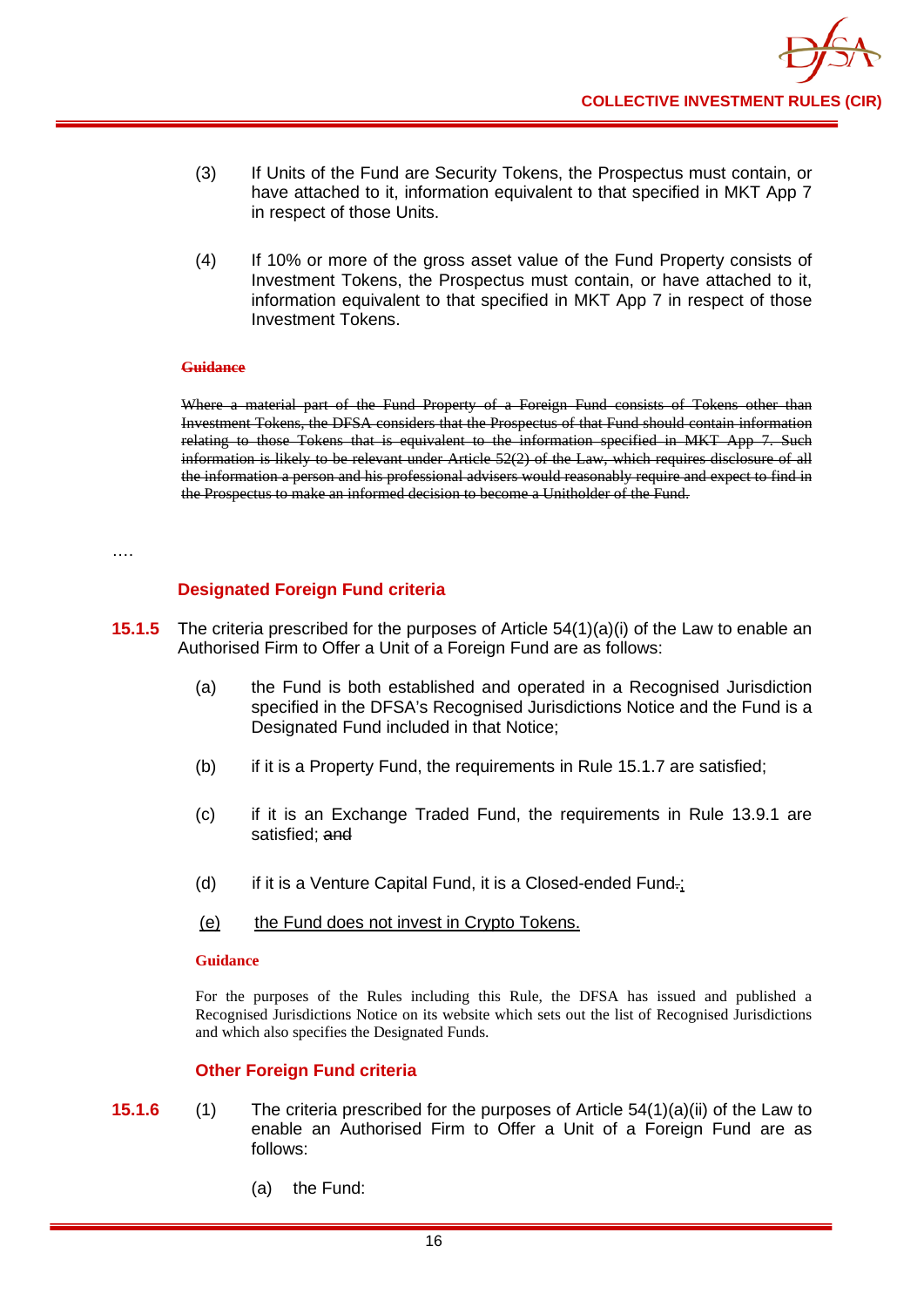

- (3) If Units of the Fund are Security Tokens, the Prospectus must contain, or have attached to it, information equivalent to that specified in MKT App 7 in respect of those Units.
- (4) If 10% or more of the gross asset value of the Fund Property consists of Investment Tokens, the Prospectus must contain, or have attached to it, information equivalent to that specified in MKT App 7 in respect of those Investment Tokens.

#### **Guidance**

Where a material part of the Fund Property of a Foreign Fund consists of Tokens other than Investment Tokens, the DFSA considers that the Prospectus of that Fund should contain information relating to those Tokens that is equivalent to the information specified in MKT App 7. Such information is likely to be relevant under Article 52(2) of the Law, which requires disclosure of all the information a person and his professional advisers would reasonably require and expect to find in the Prospectus to make an informed decision to become a Unitholder of the Fund.

#### ….

## **Designated Foreign Fund criteria**

- **15.1.5** The criteria prescribed for the purposes of Article 54(1)(a)(i) of the Law to enable an Authorised Firm to Offer a Unit of a Foreign Fund are as follows:
	- (a) the Fund is both established and operated in a Recognised Jurisdiction specified in the DFSA's Recognised Jurisdictions Notice and the Fund is a Designated Fund included in that Notice;
	- (b) if it is a Property Fund, the requirements in Rule 15.1.7 are satisfied;
	- (c) if it is an Exchange Traded Fund, the requirements in Rule 13.9.1 are satisfied; and
	- $(d)$  if it is a Venture Capital Fund, it is a Closed-ended Fund.;
	- (e) the Fund does not invest in Crypto Tokens.

#### **Guidance**

For the purposes of the Rules including this Rule, the DFSA has issued and published a Recognised Jurisdictions Notice on its website which sets out the list of Recognised Jurisdictions and which also specifies the Designated Funds.

## **Other Foreign Fund criteria**

- **15.1.6** (1) The criteria prescribed for the purposes of Article 54(1)(a)(ii) of the Law to enable an Authorised Firm to Offer a Unit of a Foreign Fund are as follows:
	- (a) the Fund: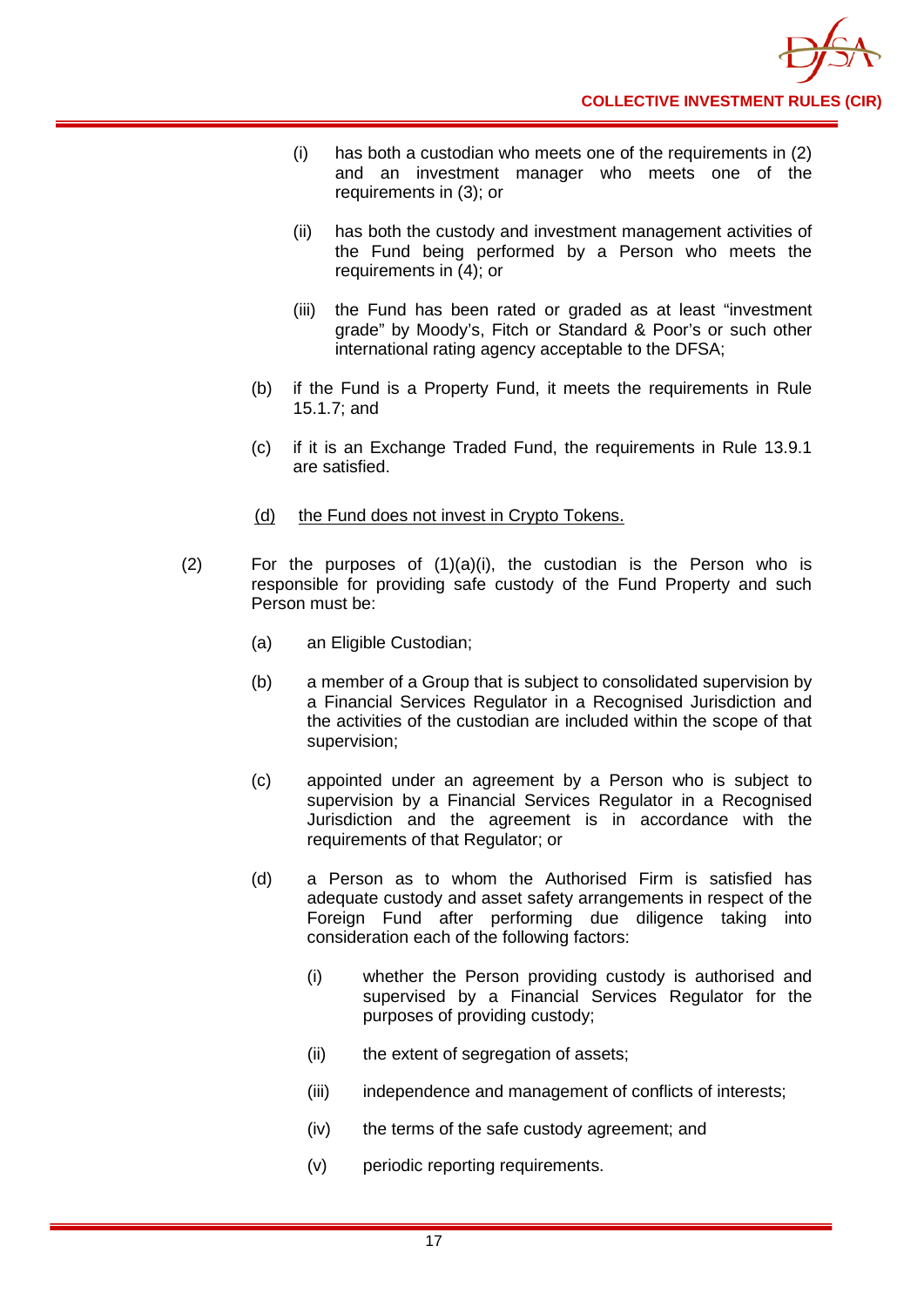- (i) has both a custodian who meets one of the requirements in (2) and an investment manager who meets one of the requirements in (3); or
- (ii) has both the custody and investment management activities of the Fund being performed by a Person who meets the requirements in (4); or
- (iii) the Fund has been rated or graded as at least "investment grade" by Moody's, Fitch or Standard & Poor's or such other international rating agency acceptable to the DFSA;
- (b) if the Fund is a Property Fund, it meets the requirements in Rule 15.1.7; and
- (c) if it is an Exchange Traded Fund, the requirements in Rule 13.9.1 are satisfied.
- (d) the Fund does not invest in Crypto Tokens.
- (2) For the purposes of  $(1)(a)(i)$ , the custodian is the Person who is responsible for providing safe custody of the Fund Property and such Person must be:
	- (a) an Eligible Custodian;
	- (b) a member of a Group that is subject to consolidated supervision by a Financial Services Regulator in a Recognised Jurisdiction and the activities of the custodian are included within the scope of that supervision;
	- (c) appointed under an agreement by a Person who is subject to supervision by a Financial Services Regulator in a Recognised Jurisdiction and the agreement is in accordance with the requirements of that Regulator; or
	- (d) a Person as to whom the Authorised Firm is satisfied has adequate custody and asset safety arrangements in respect of the Foreign Fund after performing due diligence taking into consideration each of the following factors:
		- (i) whether the Person providing custody is authorised and supervised by a Financial Services Regulator for the purposes of providing custody;
		- (ii) the extent of segregation of assets:
		- (iii) independence and management of conflicts of interests;
		- (iv) the terms of the safe custody agreement; and
		- (v) periodic reporting requirements.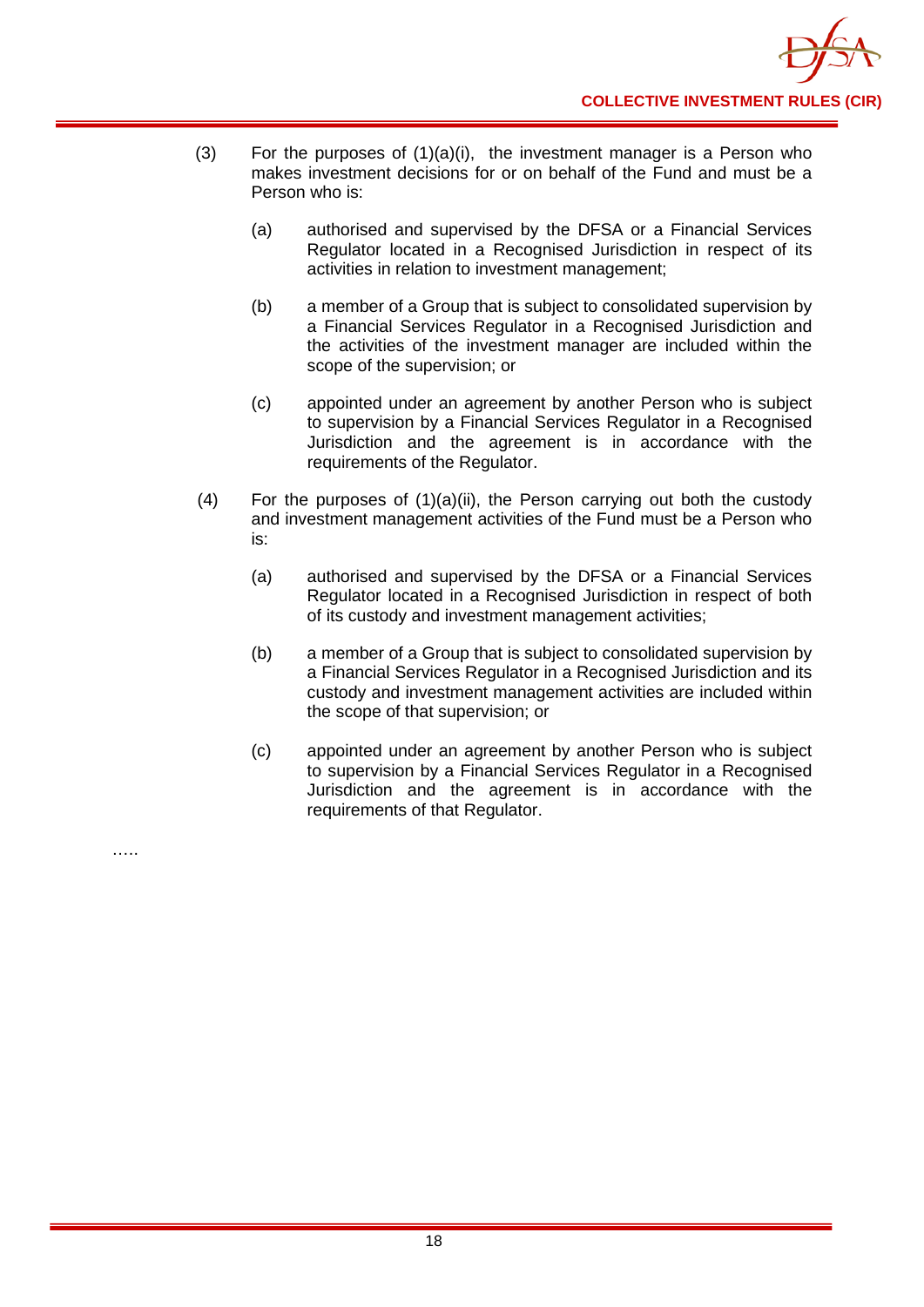- (3) For the purposes of (1)(a)(i), the investment manager is a Person who makes investment decisions for or on behalf of the Fund and must be a Person who is:
	- (a) authorised and supervised by the DFSA or a Financial Services Regulator located in a Recognised Jurisdiction in respect of its activities in relation to investment management;
	- (b) a member of a Group that is subject to consolidated supervision by a Financial Services Regulator in a Recognised Jurisdiction and the activities of the investment manager are included within the scope of the supervision; or
	- (c) appointed under an agreement by another Person who is subject to supervision by a Financial Services Regulator in a Recognised Jurisdiction and the agreement is in accordance with the requirements of the Regulator.
- (4) For the purposes of (1)(a)(ii), the Person carrying out both the custody and investment management activities of the Fund must be a Person who is:
	- (a) authorised and supervised by the DFSA or a Financial Services Regulator located in a Recognised Jurisdiction in respect of both of its custody and investment management activities;
	- (b) a member of a Group that is subject to consolidated supervision by a Financial Services Regulator in a Recognised Jurisdiction and its custody and investment management activities are included within the scope of that supervision; or
	- (c) appointed under an agreement by another Person who is subject to supervision by a Financial Services Regulator in a Recognised Jurisdiction and the agreement is in accordance with the requirements of that Regulator.

…..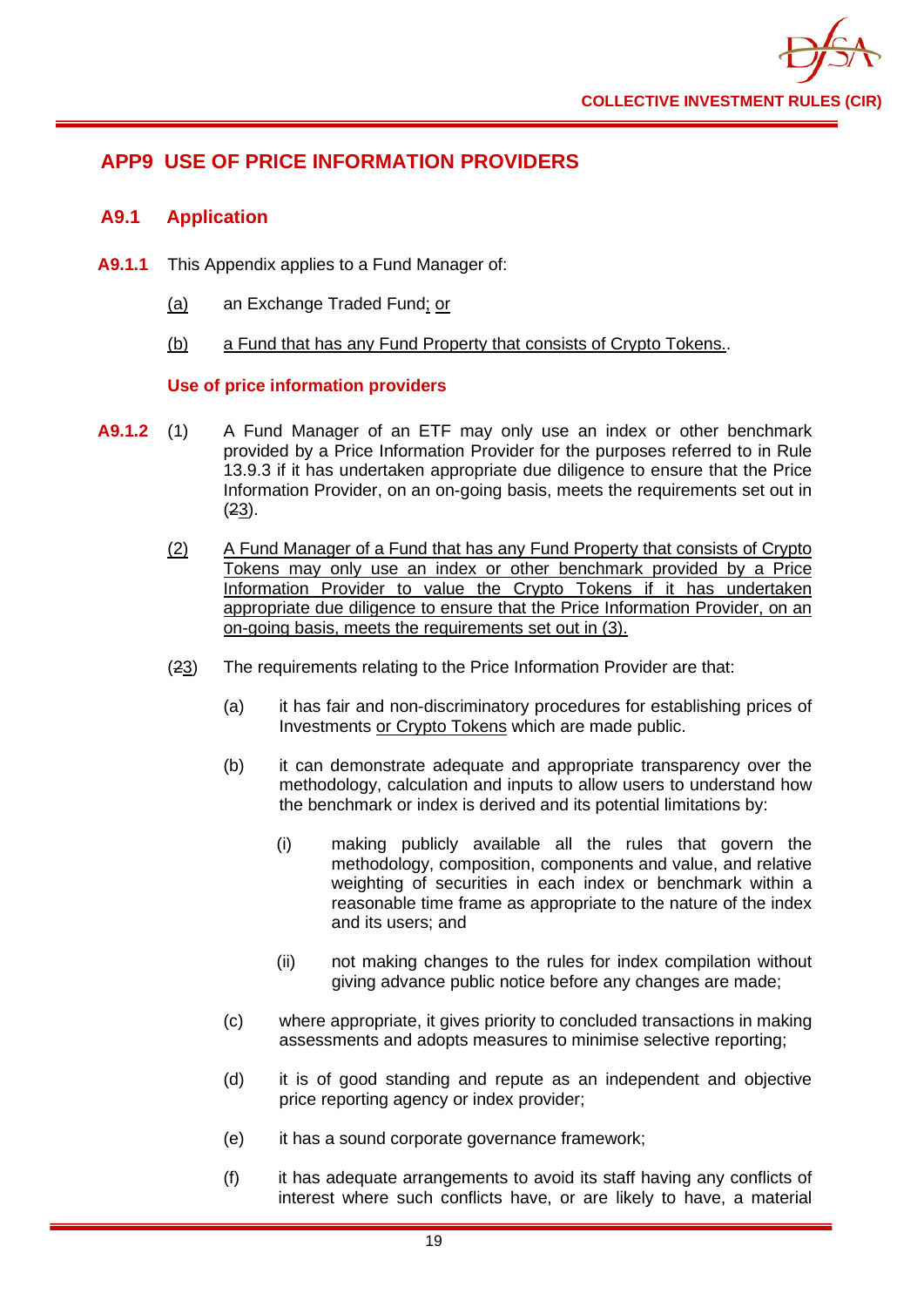

## **APP9 USE OF PRICE INFORMATION PROVIDERS**

## **A9.1 Application**

- **A9.1.1** This Appendix applies to a Fund Manager of:
	- (a) an Exchange Traded Fund; or
	- (b) a Fund that has any Fund Property that consists of Crypto Tokens..

## **Use of price information providers**

- **A9.1.2** (1) A Fund Manager of an ETF may only use an index or other benchmark provided by a Price Information Provider for the purposes referred to in Rule 13.9.3 if it has undertaken appropriate due diligence to ensure that the Price Information Provider, on an on-going basis, meets the requirements set out in (23).
	- (2) A Fund Manager of a Fund that has any Fund Property that consists of Crypto Tokens may only use an index or other benchmark provided by a Price Information Provider to value the Crypto Tokens if it has undertaken appropriate due diligence to ensure that the Price Information Provider, on an on-going basis, meets the requirements set out in (3).
	- (23) The requirements relating to the Price Information Provider are that:
		- (a) it has fair and non-discriminatory procedures for establishing prices of Investments or Crypto Tokens which are made public.
		- (b) it can demonstrate adequate and appropriate transparency over the methodology, calculation and inputs to allow users to understand how the benchmark or index is derived and its potential limitations by:
			- (i) making publicly available all the rules that govern the methodology, composition, components and value, and relative weighting of securities in each index or benchmark within a reasonable time frame as appropriate to the nature of the index and its users; and
			- (ii) not making changes to the rules for index compilation without giving advance public notice before any changes are made;
		- (c) where appropriate, it gives priority to concluded transactions in making assessments and adopts measures to minimise selective reporting;
		- (d) it is of good standing and repute as an independent and objective price reporting agency or index provider;
		- (e) it has a sound corporate governance framework;
		- (f) it has adequate arrangements to avoid its staff having any conflicts of interest where such conflicts have, or are likely to have, a material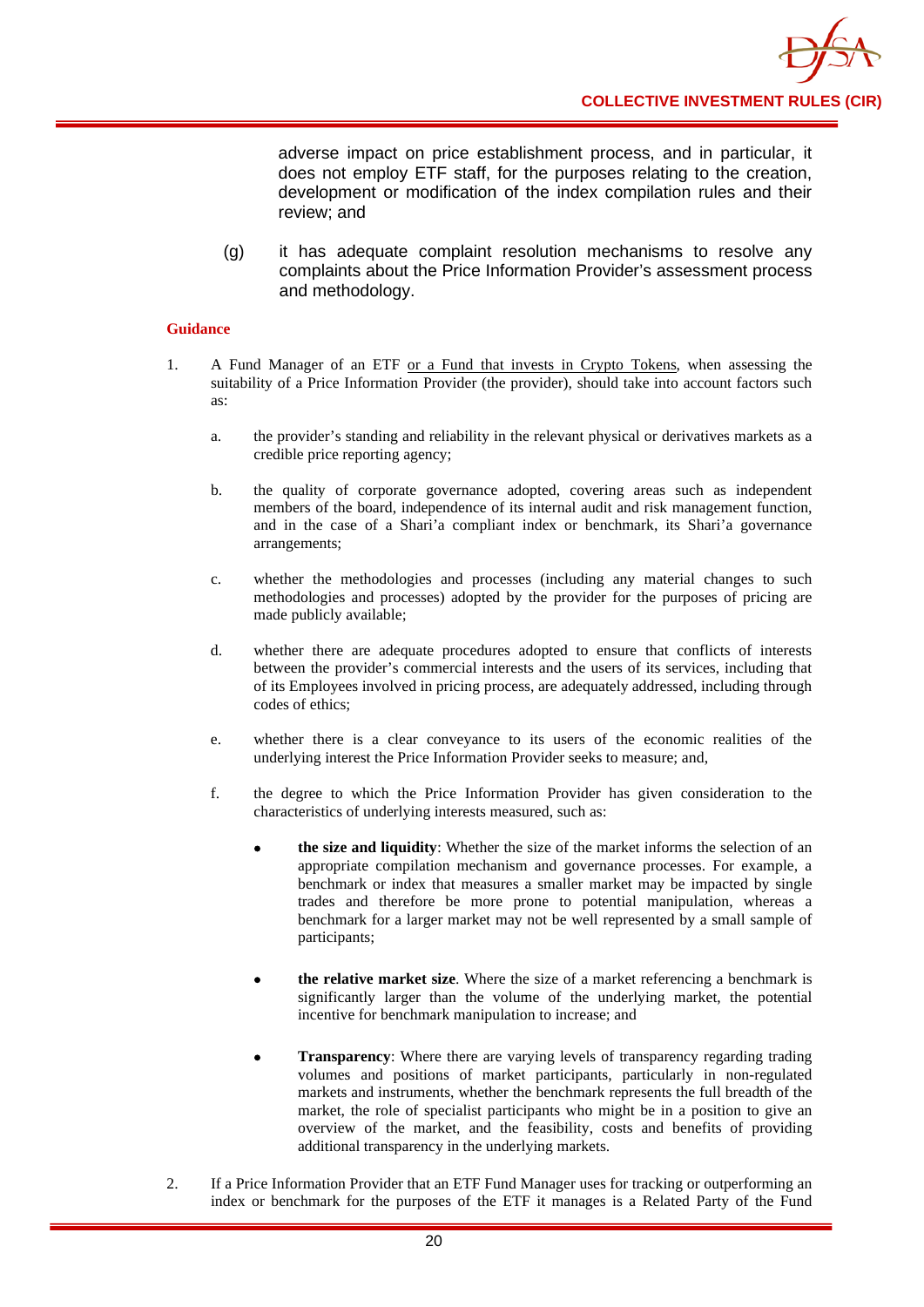adverse impact on price establishment process, and in particular, it does not employ ETF staff, for the purposes relating to the creation, development or modification of the index compilation rules and their review; and

(g) it has adequate complaint resolution mechanisms to resolve any complaints about the Price Information Provider's assessment process and methodology.

#### **Guidance**

- 1. A Fund Manager of an ETF <u>or a Fund that invests in Crypto Tokens</u>, when assessing the suitability of a Price Information Provider (the provider), should take into account factors such as:
	- a. the provider's standing and reliability in the relevant physical or derivatives markets as a credible price reporting agency;
	- b. the quality of corporate governance adopted, covering areas such as independent members of the board, independence of its internal audit and risk management function, and in the case of a Shari'a compliant index or benchmark, its Shari'a governance arrangements;
	- c. whether the methodologies and processes (including any material changes to such methodologies and processes) adopted by the provider for the purposes of pricing are made publicly available;
	- d. whether there are adequate procedures adopted to ensure that conflicts of interests between the provider's commercial interests and the users of its services, including that of its Employees involved in pricing process, are adequately addressed, including through codes of ethics;
	- e. whether there is a clear conveyance to its users of the economic realities of the underlying interest the Price Information Provider seeks to measure; and,
	- f. the degree to which the Price Information Provider has given consideration to the characteristics of underlying interests measured, such as:
		- **the size and liquidity**: Whether the size of the market informs the selection of an appropriate compilation mechanism and governance processes. For example, a benchmark or index that measures a smaller market may be impacted by single trades and therefore be more prone to potential manipulation, whereas a benchmark for a larger market may not be well represented by a small sample of participants;
		- **the relative market size**. Where the size of a market referencing a benchmark is significantly larger than the volume of the underlying market, the potential incentive for benchmark manipulation to increase; and
		- **Transparency**: Where there are varying levels of transparency regarding trading volumes and positions of market participants, particularly in non-regulated markets and instruments, whether the benchmark represents the full breadth of the market, the role of specialist participants who might be in a position to give an overview of the market, and the feasibility, costs and benefits of providing additional transparency in the underlying markets.
- 2. If a Price Information Provider that an ETF Fund Manager uses for tracking or outperforming an index or benchmark for the purposes of the ETF it manages is a Related Party of the Fund